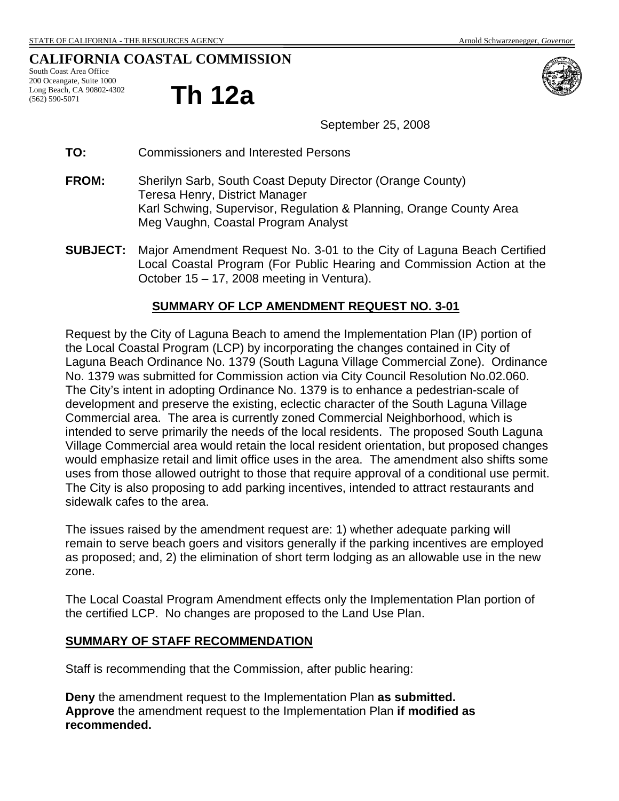# **CALIFORNIA COASTAL COMMISSION**

South Coast Area Office 200 Oceangate, Suite 1000 Long Beach, CA 90802-4302 (562) 590-5071

# **Th 12a**



September 25, 2008

- **TO:** Commissioners and Interested Persons
- **FROM:** Sherilyn Sarb, South Coast Deputy Director (Orange County) Teresa Henry, District Manager Karl Schwing, Supervisor, Regulation & Planning, Orange County Area Meg Vaughn, Coastal Program Analyst
- **SUBJECT:** Major Amendment Request No. 3-01 to the City of Laguna Beach Certified Local Coastal Program (For Public Hearing and Commission Action at the October 15 – 17, 2008 meeting in Ventura).

# **SUMMARY OF LCP AMENDMENT REQUEST NO. 3-01**

Request by the City of Laguna Beach to amend the Implementation Plan (IP) portion of the Local Coastal Program (LCP) by incorporating the changes contained in City of Laguna Beach Ordinance No. 1379 (South Laguna Village Commercial Zone). Ordinance No. 1379 was submitted for Commission action via City Council Resolution No.02.060. The City's intent in adopting Ordinance No. 1379 is to enhance a pedestrian-scale of development and preserve the existing, eclectic character of the South Laguna Village Commercial area. The area is currently zoned Commercial Neighborhood, which is intended to serve primarily the needs of the local residents. The proposed South Laguna Village Commercial area would retain the local resident orientation, but proposed changes would emphasize retail and limit office uses in the area. The amendment also shifts some uses from those allowed outright to those that require approval of a conditional use permit. The City is also proposing to add parking incentives, intended to attract restaurants and sidewalk cafes to the area.

The issues raised by the amendment request are: 1) whether adequate parking will remain to serve beach goers and visitors generally if the parking incentives are employed as proposed; and, 2) the elimination of short term lodging as an allowable use in the new zone.

The Local Coastal Program Amendment effects only the Implementation Plan portion of the certified LCP. No changes are proposed to the Land Use Plan.

### **SUMMARY OF STAFF RECOMMENDATION**

Staff is recommending that the Commission, after public hearing:

**Deny** the amendment request to the Implementation Plan **as submitted. Approve** the amendment request to the Implementation Plan **if modified as recommended.**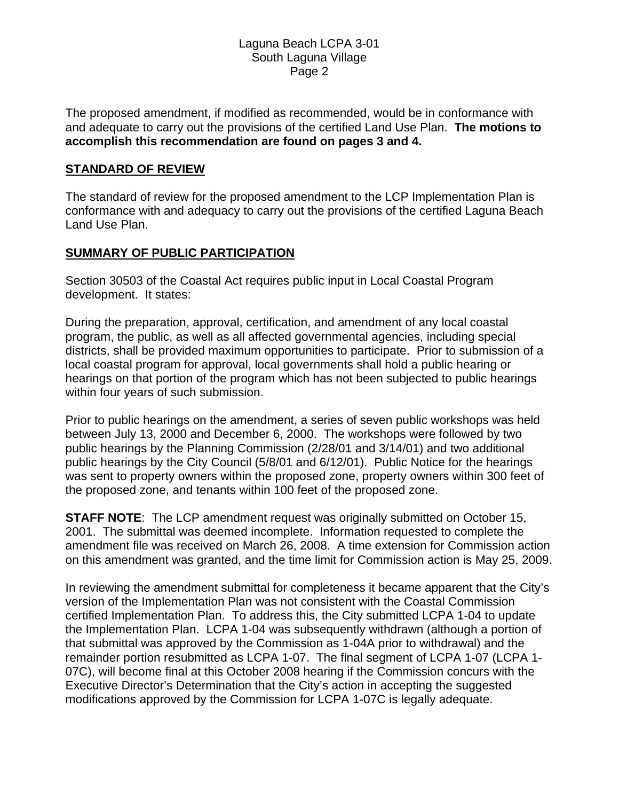The proposed amendment, if modified as recommended, would be in conformance with and adequate to carry out the provisions of the certified Land Use Plan. **The motions to accomplish this recommendation are found on pages 3 and 4.**

# **STANDARD OF REVIEW**

The standard of review for the proposed amendment to the LCP Implementation Plan is conformance with and adequacy to carry out the provisions of the certified Laguna Beach Land Use Plan.

# **SUMMARY OF PUBLIC PARTICIPATION**

Section 30503 of the Coastal Act requires public input in Local Coastal Program development. It states:

During the preparation, approval, certification, and amendment of any local coastal program, the public, as well as all affected governmental agencies, including special districts, shall be provided maximum opportunities to participate. Prior to submission of a local coastal program for approval, local governments shall hold a public hearing or hearings on that portion of the program which has not been subjected to public hearings within four years of such submission.

Prior to public hearings on the amendment, a series of seven public workshops was held between July 13, 2000 and December 6, 2000. The workshops were followed by two public hearings by the Planning Commission (2/28/01 and 3/14/01) and two additional public hearings by the City Council (5/8/01 and 6/12/01). Public Notice for the hearings was sent to property owners within the proposed zone, property owners within 300 feet of the proposed zone, and tenants within 100 feet of the proposed zone.

**STAFF NOTE:** The LCP amendment request was originally submitted on October 15, 2001. The submittal was deemed incomplete. Information requested to complete the amendment file was received on March 26, 2008. A time extension for Commission action on this amendment was granted, and the time limit for Commission action is May 25, 2009.

In reviewing the amendment submittal for completeness it became apparent that the City's version of the Implementation Plan was not consistent with the Coastal Commission certified Implementation Plan. To address this, the City submitted LCPA 1-04 to update the Implementation Plan. LCPA 1-04 was subsequently withdrawn (although a portion of that submittal was approved by the Commission as 1-04A prior to withdrawal) and the remainder portion resubmitted as LCPA 1-07. The final segment of LCPA 1-07 (LCPA 1- 07C), will become final at this October 2008 hearing if the Commission concurs with the Executive Director's Determination that the City's action in accepting the suggested modifications approved by the Commission for LCPA 1-07C is legally adequate.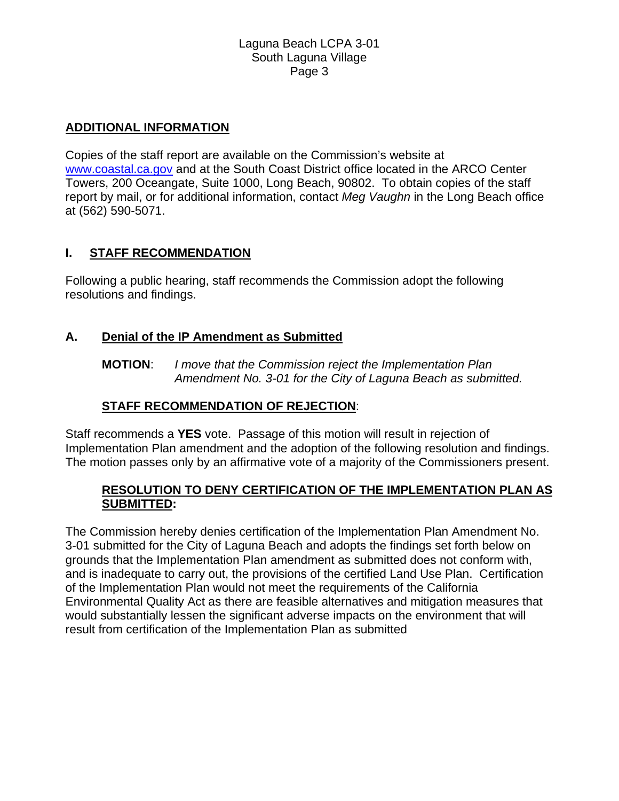# **ADDITIONAL INFORMATION**

Copies of the staff report are available on the Commission's website at [www.coastal.ca.gov](http://www.coastal.ca.gov/) and at the South Coast District office located in the ARCO Center Towers, 200 Oceangate, Suite 1000, Long Beach, 90802. To obtain copies of the staff report by mail, or for additional information, contact *Meg Vaughn* in the Long Beach office at (562) 590-5071.

# **I. STAFF RECOMMENDATION**

Following a public hearing, staff recommends the Commission adopt the following resolutions and findings.

# **A. Denial of the IP Amendment as Submitted**

**MOTION**: *I move that the Commission reject the Implementation Plan Amendment No. 3-01 for the City of Laguna Beach as submitted.* 

# **STAFF RECOMMENDATION OF REJECTION**:

Staff recommends a **YES** vote. Passage of this motion will result in rejection of Implementation Plan amendment and the adoption of the following resolution and findings. The motion passes only by an affirmative vote of a majority of the Commissioners present.

# **RESOLUTION TO DENY CERTIFICATION OF THE IMPLEMENTATION PLAN AS SUBMITTED:**

The Commission hereby denies certification of the Implementation Plan Amendment No. 3-01 submitted for the City of Laguna Beach and adopts the findings set forth below on grounds that the Implementation Plan amendment as submitted does not conform with, and is inadequate to carry out, the provisions of the certified Land Use Plan. Certification of the Implementation Plan would not meet the requirements of the California Environmental Quality Act as there are feasible alternatives and mitigation measures that would substantially lessen the significant adverse impacts on the environment that will result from certification of the Implementation Plan as submitted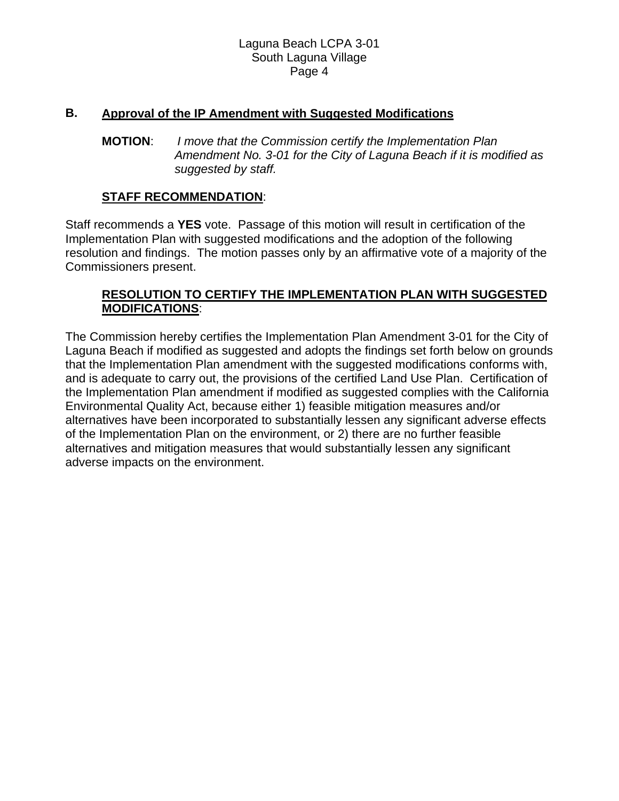# **B. Approval of the IP Amendment with Suggested Modifications**

**MOTION**: *I move that the Commission certify the Implementation Plan Amendment No. 3-01 for the City of Laguna Beach if it is modified as suggested by staff.* 

### **STAFF RECOMMENDATION**:

Staff recommends a **YES** vote. Passage of this motion will result in certification of the Implementation Plan with suggested modifications and the adoption of the following resolution and findings. The motion passes only by an affirmative vote of a majority of the Commissioners present.

# **RESOLUTION TO CERTIFY THE IMPLEMENTATION PLAN WITH SUGGESTED MODIFICATIONS**:

The Commission hereby certifies the Implementation Plan Amendment 3-01 for the City of Laguna Beach if modified as suggested and adopts the findings set forth below on grounds that the Implementation Plan amendment with the suggested modifications conforms with, and is adequate to carry out, the provisions of the certified Land Use Plan. Certification of the Implementation Plan amendment if modified as suggested complies with the California Environmental Quality Act, because either 1) feasible mitigation measures and/or alternatives have been incorporated to substantially lessen any significant adverse effects of the Implementation Plan on the environment, or 2) there are no further feasible alternatives and mitigation measures that would substantially lessen any significant adverse impacts on the environment.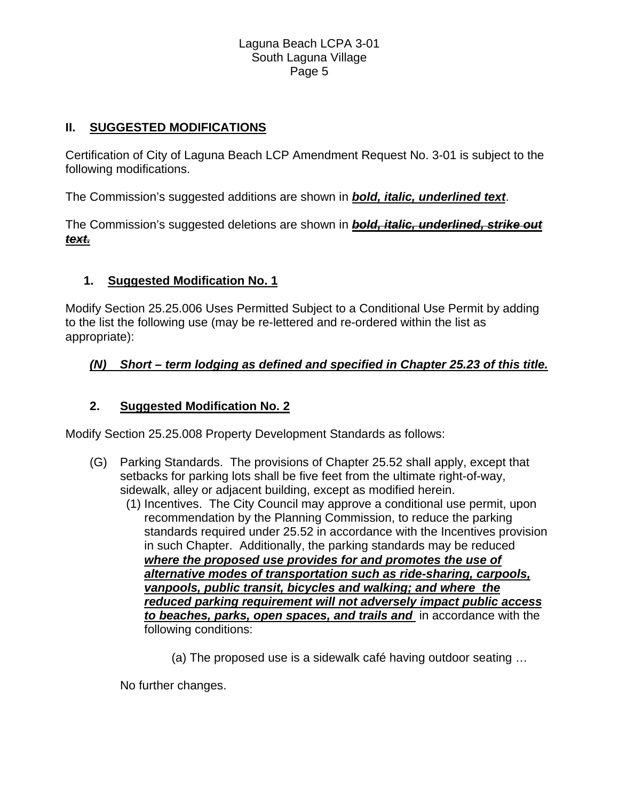# **II. SUGGESTED MODIFICATIONS**

Certification of City of Laguna Beach LCP Amendment Request No. 3-01 is subject to the following modifications.

The Commission's suggested additions are shown in *bold, italic, underlined text*.

The Commission's suggested deletions are shown in *bold, italic, underlined, strike out text.*

# **1. Suggested Modification No. 1**

Modify Section 25.25.006 Uses Permitted Subject to a Conditional Use Permit by adding to the list the following use (may be re-lettered and re-ordered within the list as appropriate):

# *(N) Short – term lodging as defined and specified in Chapter 25.23 of this title.*

# **2. Suggested Modification No. 2**

Modify Section 25.25.008 Property Development Standards as follows:

- (G) Parking Standards. The provisions of Chapter 25.52 shall apply, except that setbacks for parking lots shall be five feet from the ultimate right-of-way, sidewalk, alley or adjacent building, except as modified herein.
	- (1) Incentives. The City Council may approve a conditional use permit, upon recommendation by the Planning Commission, to reduce the parking standards required under 25.52 in accordance with the Incentives provision in such Chapter. Additionally, the parking standards may be reduced *where the proposed use provides for and promotes the use of alternative modes of transportation such as ride-sharing, carpools, vanpools, public transit, bicycles and walking; and where the reduced parking requirement will not adversely impact public access to beaches, parks, open spaces, and trails and* in accordance with the following conditions:
		- (a) The proposed use is a sidewalk café having outdoor seating …

No further changes.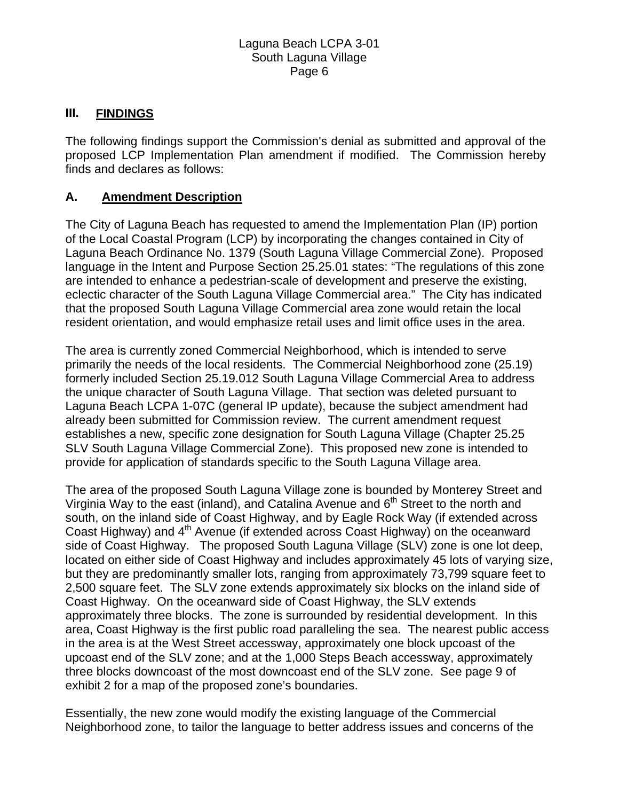# **III. FINDINGS**

The following findings support the Commission's denial as submitted and approval of the proposed LCP Implementation Plan amendment if modified. The Commission hereby finds and declares as follows:

# **A. Amendment Description**

The City of Laguna Beach has requested to amend the Implementation Plan (IP) portion of the Local Coastal Program (LCP) by incorporating the changes contained in City of Laguna Beach Ordinance No. 1379 (South Laguna Village Commercial Zone). Proposed language in the Intent and Purpose Section 25.25.01 states: "The regulations of this zone are intended to enhance a pedestrian-scale of development and preserve the existing, eclectic character of the South Laguna Village Commercial area." The City has indicated that the proposed South Laguna Village Commercial area zone would retain the local resident orientation, and would emphasize retail uses and limit office uses in the area.

The area is currently zoned Commercial Neighborhood, which is intended to serve primarily the needs of the local residents. The Commercial Neighborhood zone (25.19) formerly included Section 25.19.012 South Laguna Village Commercial Area to address the unique character of South Laguna Village. That section was deleted pursuant to Laguna Beach LCPA 1-07C (general IP update), because the subject amendment had already been submitted for Commission review. The current amendment request establishes a new, specific zone designation for South Laguna Village (Chapter 25.25 SLV South Laguna Village Commercial Zone). This proposed new zone is intended to provide for application of standards specific to the South Laguna Village area.

The area of the proposed South Laguna Village zone is bounded by Monterey Street and Virginia Way to the east (inland), and Catalina Avenue and  $6<sup>th</sup>$  Street to the north and south, on the inland side of Coast Highway, and by Eagle Rock Way (if extended across Coast Highway) and 4<sup>th</sup> Avenue (if extended across Coast Highway) on the oceanward side of Coast Highway. The proposed South Laguna Village (SLV) zone is one lot deep, located on either side of Coast Highway and includes approximately 45 lots of varying size, but they are predominantly smaller lots, ranging from approximately 73,799 square feet to 2,500 square feet. The SLV zone extends approximately six blocks on the inland side of Coast Highway. On the oceanward side of Coast Highway, the SLV extends approximately three blocks. The zone is surrounded by residential development. In this area, Coast Highway is the first public road paralleling the sea. The nearest public access in the area is at the West Street accessway, approximately one block upcoast of the upcoast end of the SLV zone; and at the 1,000 Steps Beach accessway, approximately three blocks downcoast of the most downcoast end of the SLV zone. See page 9 of exhibit 2 for a map of the proposed zone's boundaries.

Essentially, the new zone would modify the existing language of the Commercial Neighborhood zone, to tailor the language to better address issues and concerns of the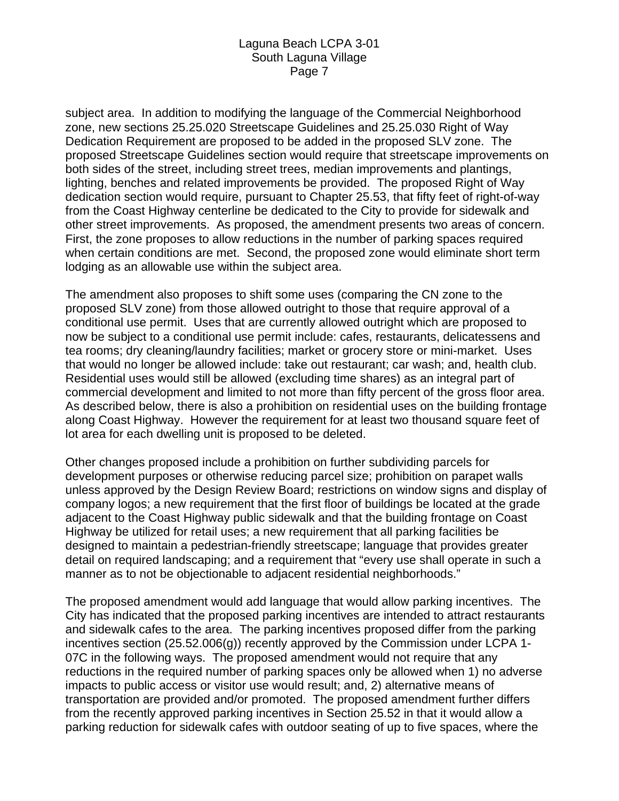subject area. In addition to modifying the language of the Commercial Neighborhood zone, new sections 25.25.020 Streetscape Guidelines and 25.25.030 Right of Way Dedication Requirement are proposed to be added in the proposed SLV zone. The proposed Streetscape Guidelines section would require that streetscape improvements on both sides of the street, including street trees, median improvements and plantings, lighting, benches and related improvements be provided. The proposed Right of Way dedication section would require, pursuant to Chapter 25.53, that fifty feet of right-of-way from the Coast Highway centerline be dedicated to the City to provide for sidewalk and other street improvements. As proposed, the amendment presents two areas of concern. First, the zone proposes to allow reductions in the number of parking spaces required when certain conditions are met. Second, the proposed zone would eliminate short term lodging as an allowable use within the subject area.

The amendment also proposes to shift some uses (comparing the CN zone to the proposed SLV zone) from those allowed outright to those that require approval of a conditional use permit. Uses that are currently allowed outright which are proposed to now be subject to a conditional use permit include: cafes, restaurants, delicatessens and tea rooms; dry cleaning/laundry facilities; market or grocery store or mini-market. Uses that would no longer be allowed include: take out restaurant; car wash; and, health club. Residential uses would still be allowed (excluding time shares) as an integral part of commercial development and limited to not more than fifty percent of the gross floor area. As described below, there is also a prohibition on residential uses on the building frontage along Coast Highway. However the requirement for at least two thousand square feet of lot area for each dwelling unit is proposed to be deleted.

Other changes proposed include a prohibition on further subdividing parcels for development purposes or otherwise reducing parcel size; prohibition on parapet walls unless approved by the Design Review Board; restrictions on window signs and display of company logos; a new requirement that the first floor of buildings be located at the grade adjacent to the Coast Highway public sidewalk and that the building frontage on Coast Highway be utilized for retail uses; a new requirement that all parking facilities be designed to maintain a pedestrian-friendly streetscape; language that provides greater detail on required landscaping; and a requirement that "every use shall operate in such a manner as to not be objectionable to adjacent residential neighborhoods."

The proposed amendment would add language that would allow parking incentives. The City has indicated that the proposed parking incentives are intended to attract restaurants and sidewalk cafes to the area. The parking incentives proposed differ from the parking incentives section (25.52.006(g)) recently approved by the Commission under LCPA 1- 07C in the following ways. The proposed amendment would not require that any reductions in the required number of parking spaces only be allowed when 1) no adverse impacts to public access or visitor use would result; and, 2) alternative means of transportation are provided and/or promoted. The proposed amendment further differs from the recently approved parking incentives in Section 25.52 in that it would allow a parking reduction for sidewalk cafes with outdoor seating of up to five spaces, where the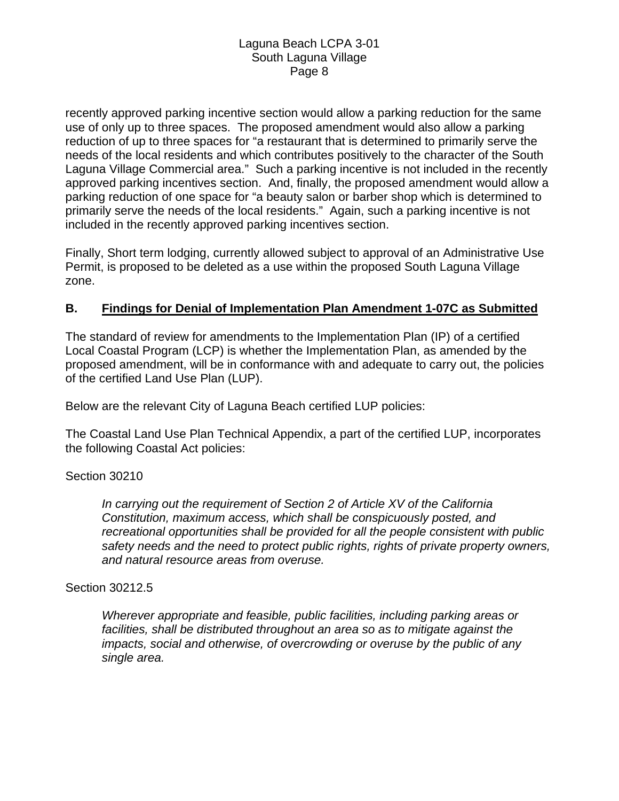recently approved parking incentive section would allow a parking reduction for the same use of only up to three spaces. The proposed amendment would also allow a parking reduction of up to three spaces for "a restaurant that is determined to primarily serve the needs of the local residents and which contributes positively to the character of the South Laguna Village Commercial area." Such a parking incentive is not included in the recently approved parking incentives section. And, finally, the proposed amendment would allow a parking reduction of one space for "a beauty salon or barber shop which is determined to primarily serve the needs of the local residents." Again, such a parking incentive is not included in the recently approved parking incentives section.

Finally, Short term lodging, currently allowed subject to approval of an Administrative Use Permit, is proposed to be deleted as a use within the proposed South Laguna Village zone.

# **B. Findings for Denial of Implementation Plan Amendment 1-07C as Submitted**

The standard of review for amendments to the Implementation Plan (IP) of a certified Local Coastal Program (LCP) is whether the Implementation Plan, as amended by the proposed amendment, will be in conformance with and adequate to carry out, the policies of the certified Land Use Plan (LUP).

Below are the relevant City of Laguna Beach certified LUP policies:

The Coastal Land Use Plan Technical Appendix, a part of the certified LUP, incorporates the following Coastal Act policies:

### Section 30210

*In carrying out the requirement of Section 2 of Article XV of the California Constitution, maximum access, which shall be conspicuously posted, and recreational opportunities shall be provided for all the people consistent with public safety needs and the need to protect public rights, rights of private property owners, and natural resource areas from overuse.* 

### Section 30212.5

*Wherever appropriate and feasible, public facilities, including parking areas or facilities, shall be distributed throughout an area so as to mitigate against the impacts, social and otherwise, of overcrowding or overuse by the public of any single area.*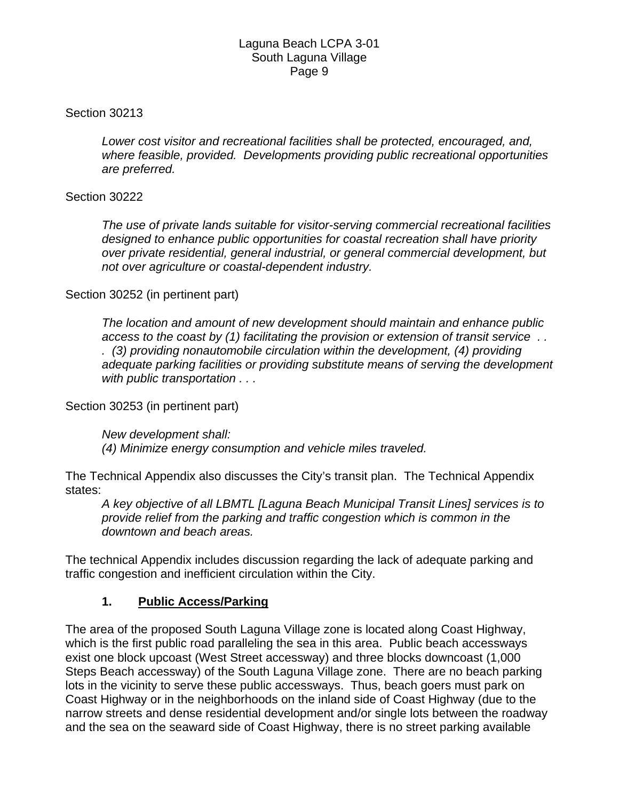# Section 30213

*Lower cost visitor and recreational facilities shall be protected, encouraged, and, where feasible, provided. Developments providing public recreational opportunities are preferred.* 

# Section 30222

*The use of private lands suitable for visitor-serving commercial recreational facilities designed to enhance public opportunities for coastal recreation shall have priority over private residential, general industrial, or general commercial development, but not over agriculture or coastal-dependent industry.* 

# Section 30252 (in pertinent part)

*The location and amount of new development should maintain and enhance public access to the coast by (1) facilitating the provision or extension of transit service . . . (3) providing nonautomobile circulation within the development, (4) providing adequate parking facilities or providing substitute means of serving the development with public transportation . . .* 

Section 30253 (in pertinent part)

*New development shall: (4) Minimize energy consumption and vehicle miles traveled.* 

The Technical Appendix also discusses the City's transit plan. The Technical Appendix states:

*A key objective of all LBMTL [Laguna Beach Municipal Transit Lines] services is to provide relief from the parking and traffic congestion which is common in the downtown and beach areas.* 

The technical Appendix includes discussion regarding the lack of adequate parking and traffic congestion and inefficient circulation within the City.

# **1. Public Access/Parking**

The area of the proposed South Laguna Village zone is located along Coast Highway, which is the first public road paralleling the sea in this area. Public beach accessways exist one block upcoast (West Street accessway) and three blocks downcoast (1,000 Steps Beach accessway) of the South Laguna Village zone. There are no beach parking lots in the vicinity to serve these public accessways. Thus, beach goers must park on Coast Highway or in the neighborhoods on the inland side of Coast Highway (due to the narrow streets and dense residential development and/or single lots between the roadway and the sea on the seaward side of Coast Highway, there is no street parking available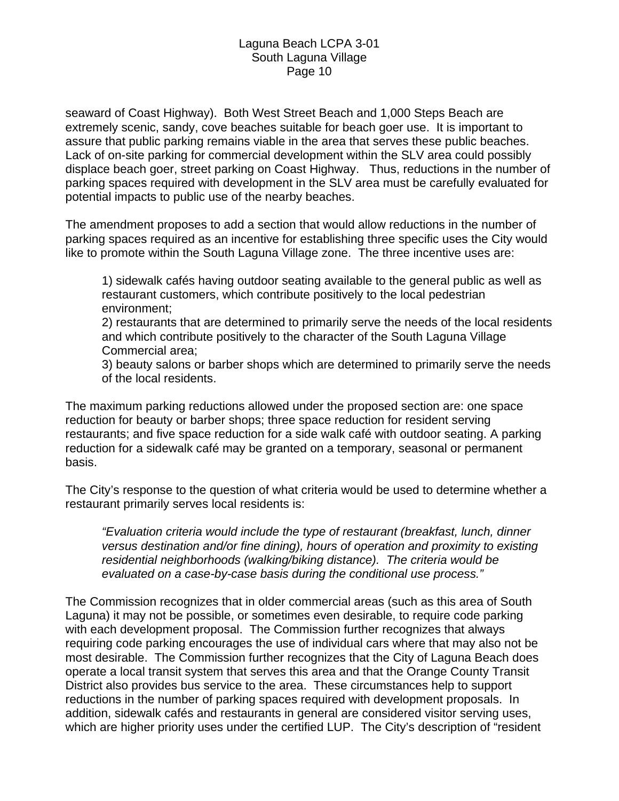seaward of Coast Highway). Both West Street Beach and 1,000 Steps Beach are extremely scenic, sandy, cove beaches suitable for beach goer use. It is important to assure that public parking remains viable in the area that serves these public beaches. Lack of on-site parking for commercial development within the SLV area could possibly displace beach goer, street parking on Coast Highway. Thus, reductions in the number of parking spaces required with development in the SLV area must be carefully evaluated for potential impacts to public use of the nearby beaches.

The amendment proposes to add a section that would allow reductions in the number of parking spaces required as an incentive for establishing three specific uses the City would like to promote within the South Laguna Village zone. The three incentive uses are:

1) sidewalk cafés having outdoor seating available to the general public as well as restaurant customers, which contribute positively to the local pedestrian environment;

2) restaurants that are determined to primarily serve the needs of the local residents and which contribute positively to the character of the South Laguna Village Commercial area;

3) beauty salons or barber shops which are determined to primarily serve the needs of the local residents.

The maximum parking reductions allowed under the proposed section are: one space reduction for beauty or barber shops; three space reduction for resident serving restaurants; and five space reduction for a side walk café with outdoor seating. A parking reduction for a sidewalk café may be granted on a temporary, seasonal or permanent basis.

The City's response to the question of what criteria would be used to determine whether a restaurant primarily serves local residents is:

*"Evaluation criteria would include the type of restaurant (breakfast, lunch, dinner versus destination and/or fine dining), hours of operation and proximity to existing residential neighborhoods (walking/biking distance). The criteria would be evaluated on a case-by-case basis during the conditional use process."* 

The Commission recognizes that in older commercial areas (such as this area of South Laguna) it may not be possible, or sometimes even desirable, to require code parking with each development proposal. The Commission further recognizes that always requiring code parking encourages the use of individual cars where that may also not be most desirable. The Commission further recognizes that the City of Laguna Beach does operate a local transit system that serves this area and that the Orange County Transit District also provides bus service to the area. These circumstances help to support reductions in the number of parking spaces required with development proposals. In addition, sidewalk cafés and restaurants in general are considered visitor serving uses, which are higher priority uses under the certified LUP. The City's description of "resident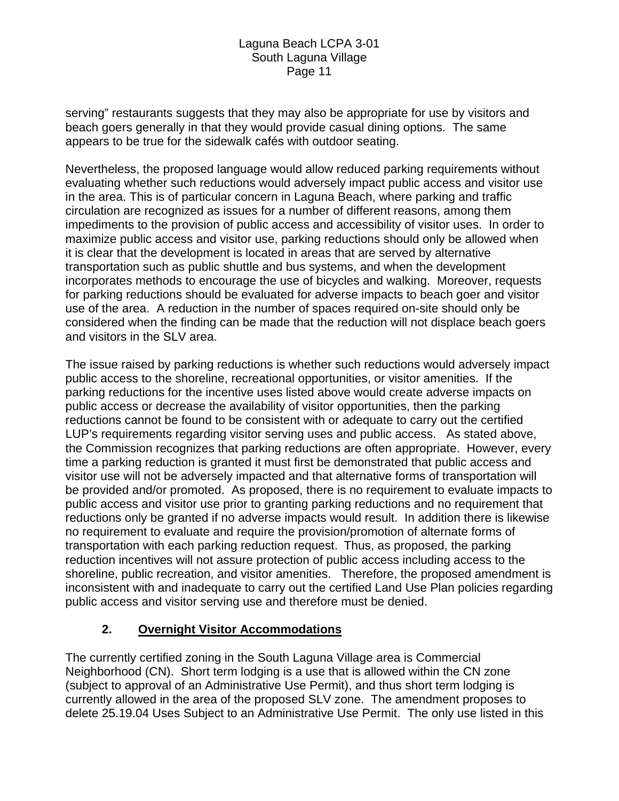serving" restaurants suggests that they may also be appropriate for use by visitors and beach goers generally in that they would provide casual dining options. The same appears to be true for the sidewalk cafés with outdoor seating.

Nevertheless, the proposed language would allow reduced parking requirements without evaluating whether such reductions would adversely impact public access and visitor use in the area. This is of particular concern in Laguna Beach, where parking and traffic circulation are recognized as issues for a number of different reasons, among them impediments to the provision of public access and accessibility of visitor uses. In order to maximize public access and visitor use, parking reductions should only be allowed when it is clear that the development is located in areas that are served by alternative transportation such as public shuttle and bus systems, and when the development incorporates methods to encourage the use of bicycles and walking. Moreover, requests for parking reductions should be evaluated for adverse impacts to beach goer and visitor use of the area. A reduction in the number of spaces required on-site should only be considered when the finding can be made that the reduction will not displace beach goers and visitors in the SLV area.

The issue raised by parking reductions is whether such reductions would adversely impact public access to the shoreline, recreational opportunities, or visitor amenities. If the parking reductions for the incentive uses listed above would create adverse impacts on public access or decrease the availability of visitor opportunities, then the parking reductions cannot be found to be consistent with or adequate to carry out the certified LUP's requirements regarding visitor serving uses and public access. As stated above, the Commission recognizes that parking reductions are often appropriate. However, every time a parking reduction is granted it must first be demonstrated that public access and visitor use will not be adversely impacted and that alternative forms of transportation will be provided and/or promoted. As proposed, there is no requirement to evaluate impacts to public access and visitor use prior to granting parking reductions and no requirement that reductions only be granted if no adverse impacts would result. In addition there is likewise no requirement to evaluate and require the provision/promotion of alternate forms of transportation with each parking reduction request. Thus, as proposed, the parking reduction incentives will not assure protection of public access including access to the shoreline, public recreation, and visitor amenities. Therefore, the proposed amendment is inconsistent with and inadequate to carry out the certified Land Use Plan policies regarding public access and visitor serving use and therefore must be denied.

# **2. Overnight Visitor Accommodations**

The currently certified zoning in the South Laguna Village area is Commercial Neighborhood (CN). Short term lodging is a use that is allowed within the CN zone (subject to approval of an Administrative Use Permit), and thus short term lodging is currently allowed in the area of the proposed SLV zone. The amendment proposes to delete 25.19.04 Uses Subject to an Administrative Use Permit. The only use listed in this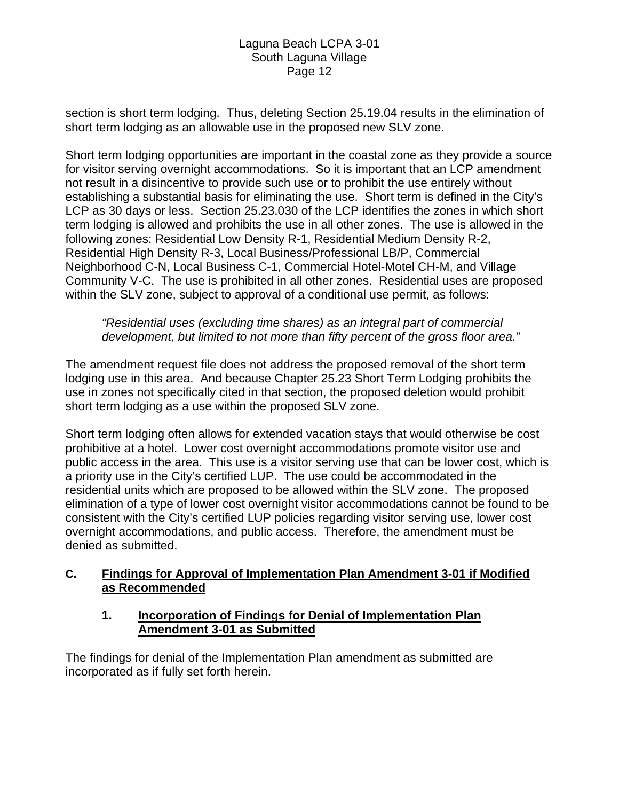section is short term lodging. Thus, deleting Section 25.19.04 results in the elimination of short term lodging as an allowable use in the proposed new SLV zone.

Short term lodging opportunities are important in the coastal zone as they provide a source for visitor serving overnight accommodations. So it is important that an LCP amendment not result in a disincentive to provide such use or to prohibit the use entirely without establishing a substantial basis for eliminating the use. Short term is defined in the City's LCP as 30 days or less. Section 25.23.030 of the LCP identifies the zones in which short term lodging is allowed and prohibits the use in all other zones. The use is allowed in the following zones: Residential Low Density R-1, Residential Medium Density R-2, Residential High Density R-3, Local Business/Professional LB/P, Commercial Neighborhood C-N, Local Business C-1, Commercial Hotel-Motel CH-M, and Village Community V-C. The use is prohibited in all other zones. Residential uses are proposed within the SLV zone, subject to approval of a conditional use permit, as follows:

*"Residential uses (excluding time shares) as an integral part of commercial development, but limited to not more than fifty percent of the gross floor area."* 

The amendment request file does not address the proposed removal of the short term lodging use in this area. And because Chapter 25.23 Short Term Lodging prohibits the use in zones not specifically cited in that section, the proposed deletion would prohibit short term lodging as a use within the proposed SLV zone.

Short term lodging often allows for extended vacation stays that would otherwise be cost prohibitive at a hotel. Lower cost overnight accommodations promote visitor use and public access in the area. This use is a visitor serving use that can be lower cost, which is a priority use in the City's certified LUP. The use could be accommodated in the residential units which are proposed to be allowed within the SLV zone. The proposed elimination of a type of lower cost overnight visitor accommodations cannot be found to be consistent with the City's certified LUP policies regarding visitor serving use, lower cost overnight accommodations, and public access. Therefore, the amendment must be denied as submitted.

# **C. Findings for Approval of Implementation Plan Amendment 3-01 if Modified as Recommended**

# **1. Incorporation of Findings for Denial of Implementation Plan Amendment 3-01 as Submitted**

The findings for denial of the Implementation Plan amendment as submitted are incorporated as if fully set forth herein.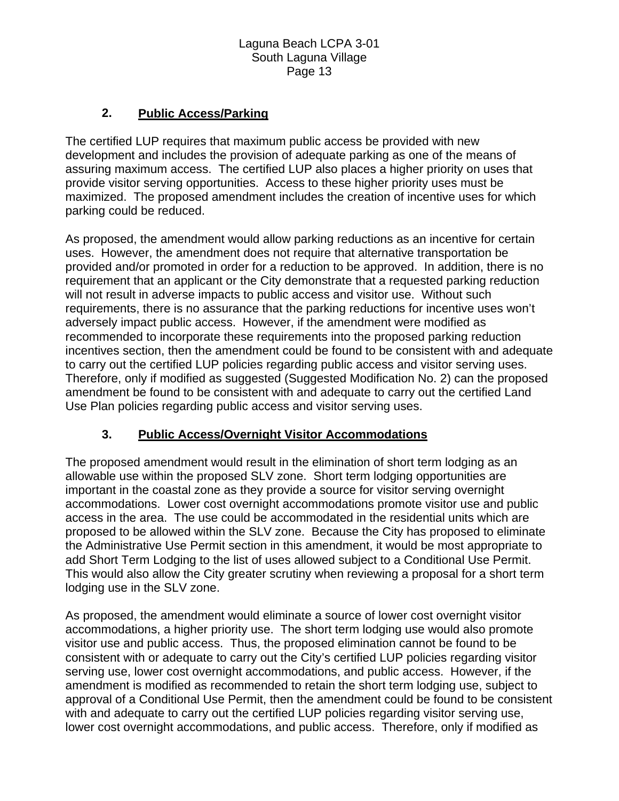# **2. Public Access/Parking**

The certified LUP requires that maximum public access be provided with new development and includes the provision of adequate parking as one of the means of assuring maximum access. The certified LUP also places a higher priority on uses that provide visitor serving opportunities. Access to these higher priority uses must be maximized. The proposed amendment includes the creation of incentive uses for which parking could be reduced.

As proposed, the amendment would allow parking reductions as an incentive for certain uses. However, the amendment does not require that alternative transportation be provided and/or promoted in order for a reduction to be approved. In addition, there is no requirement that an applicant or the City demonstrate that a requested parking reduction will not result in adverse impacts to public access and visitor use. Without such requirements, there is no assurance that the parking reductions for incentive uses won't adversely impact public access. However, if the amendment were modified as recommended to incorporate these requirements into the proposed parking reduction incentives section, then the amendment could be found to be consistent with and adequate to carry out the certified LUP policies regarding public access and visitor serving uses. Therefore, only if modified as suggested (Suggested Modification No. 2) can the proposed amendment be found to be consistent with and adequate to carry out the certified Land Use Plan policies regarding public access and visitor serving uses.

# **3. Public Access/Overnight Visitor Accommodations**

The proposed amendment would result in the elimination of short term lodging as an allowable use within the proposed SLV zone. Short term lodging opportunities are important in the coastal zone as they provide a source for visitor serving overnight accommodations. Lower cost overnight accommodations promote visitor use and public access in the area. The use could be accommodated in the residential units which are proposed to be allowed within the SLV zone. Because the City has proposed to eliminate the Administrative Use Permit section in this amendment, it would be most appropriate to add Short Term Lodging to the list of uses allowed subject to a Conditional Use Permit. This would also allow the City greater scrutiny when reviewing a proposal for a short term lodging use in the SLV zone.

As proposed, the amendment would eliminate a source of lower cost overnight visitor accommodations, a higher priority use. The short term lodging use would also promote visitor use and public access. Thus, the proposed elimination cannot be found to be consistent with or adequate to carry out the City's certified LUP policies regarding visitor serving use, lower cost overnight accommodations, and public access. However, if the amendment is modified as recommended to retain the short term lodging use, subject to approval of a Conditional Use Permit, then the amendment could be found to be consistent with and adequate to carry out the certified LUP policies regarding visitor serving use, lower cost overnight accommodations, and public access. Therefore, only if modified as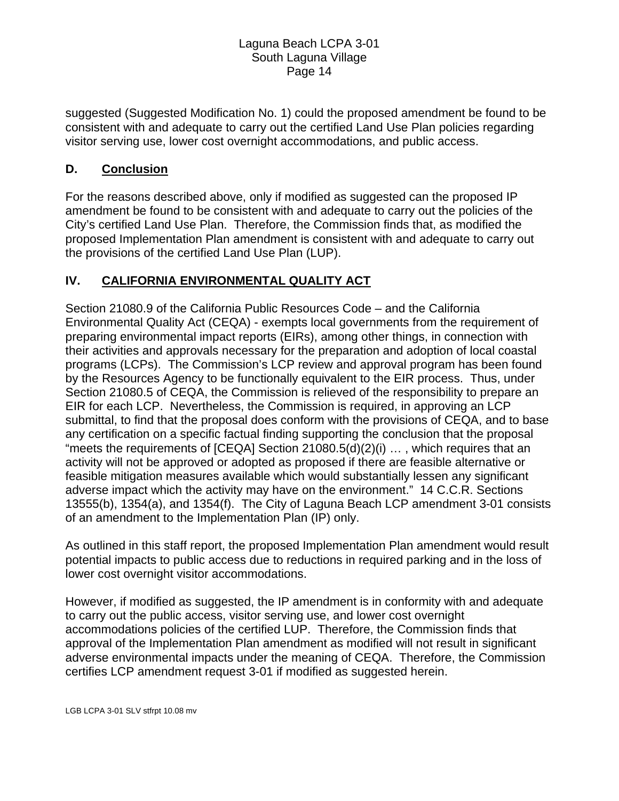suggested (Suggested Modification No. 1) could the proposed amendment be found to be consistent with and adequate to carry out the certified Land Use Plan policies regarding visitor serving use, lower cost overnight accommodations, and public access.

# **D. Conclusion**

For the reasons described above, only if modified as suggested can the proposed IP amendment be found to be consistent with and adequate to carry out the policies of the City's certified Land Use Plan. Therefore, the Commission finds that, as modified the proposed Implementation Plan amendment is consistent with and adequate to carry out the provisions of the certified Land Use Plan (LUP).

# **IV. CALIFORNIA ENVIRONMENTAL QUALITY ACT**

Section 21080.9 of the California Public Resources Code – and the California Environmental Quality Act (CEQA) - exempts local governments from the requirement of preparing environmental impact reports (EIRs), among other things, in connection with their activities and approvals necessary for the preparation and adoption of local coastal programs (LCPs). The Commission's LCP review and approval program has been found by the Resources Agency to be functionally equivalent to the EIR process. Thus, under Section 21080.5 of CEQA, the Commission is relieved of the responsibility to prepare an EIR for each LCP. Nevertheless, the Commission is required, in approving an LCP submittal, to find that the proposal does conform with the provisions of CEQA, and to base any certification on a specific factual finding supporting the conclusion that the proposal "meets the requirements of [CEQA] Section 21080.5(d)(2)(i) … , which requires that an activity will not be approved or adopted as proposed if there are feasible alternative or feasible mitigation measures available which would substantially lessen any significant adverse impact which the activity may have on the environment." 14 C.C.R. Sections 13555(b), 1354(a), and 1354(f). The City of Laguna Beach LCP amendment 3-01 consists of an amendment to the Implementation Plan (IP) only.

As outlined in this staff report, the proposed Implementation Plan amendment would result potential impacts to public access due to reductions in required parking and in the loss of lower cost overnight visitor accommodations.

However, if modified as suggested, the IP amendment is in conformity with and adequate to carry out the public access, visitor serving use, and lower cost overnight accommodations policies of the certified LUP. Therefore, the Commission finds that approval of the Implementation Plan amendment as modified will not result in significant adverse environmental impacts under the meaning of CEQA. Therefore, the Commission certifies LCP amendment request 3-01 if modified as suggested herein.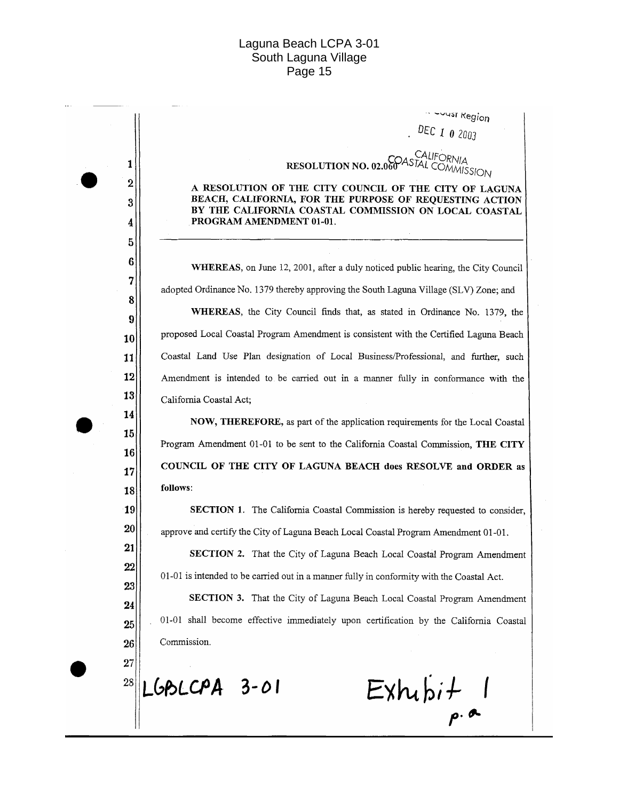-vust Region DEC 1 0 2003

RESOLUTION NO. 02.060 ASTAL COMMISSION

A RESOLUTION OF THE CITY COUNCIL OF THE CITY OF LAGUNA BEACH, CALIFORNIA, FOR THE PURPOSE OF REQUESTING ACTION BY THE CALIFORNIA COASTAL COMMISSION ON LOCAL COASTAL PROGRAM AMENDMENT 01-01.

WHEREAS, on June 12, 2001, after a duly noticed public hearing, the City Council adopted Ordinance No. 1379 thereby approving the South Laguna Village (SLV) Zone; and WHEREAS, the City Council finds that, as stated in Ordinance No. 1379, the proposed Local Coastal Program Amendment is consistent with the Certified Laguna Beach Coastal Land Use Plan designation of Local Business/Professional, and further, such Amendment is intended to be carried out in a manner fully in conformance with the California Coastal Act;

NOW, THEREFORE, as part of the application requirements for the Local Coastal Program Amendment 01-01 to be sent to the California Coastal Commission, THE CITY COUNCIL OF THE CITY OF LAGUNA BEACH does RESOLVE and ORDER as follows:

**SECTION 1.** The California Coastal Commission is hereby requested to consider, approve and certify the City of Laguna Beach Local Coastal Program Amendment 01-01.

SECTION 2. That the City of Laguna Beach Local Coastal Program Amendment 01-01 is intended to be carried out in a manner fully in conformity with the Coastal Act.

SECTION 3. That the City of Laguna Beach Local Coastal Program Amendment 01-01 shall become effective immediately upon certification by the California Coastal Commission.

28 LGBLCPA 3-01

1  $\overline{2}$ 

3

 $\boldsymbol{4}$  $\overline{5}$  $6\phantom{1}6$ 

 $\overline{7}$ 

8

9

10

11 12

13

14

15

16

17

18 19

20

21

 $22$ 

23

24

25

26 27

 $Exhubit$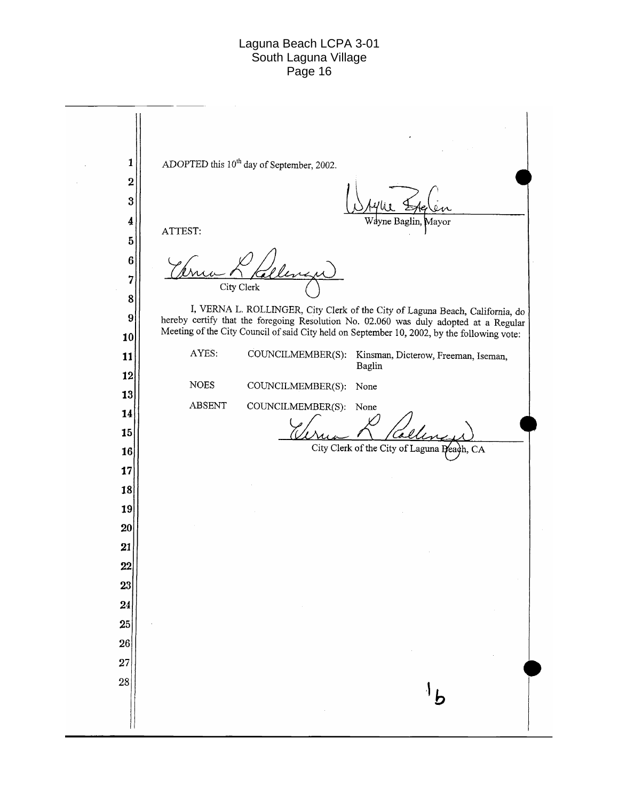ADOPTED this 10<sup>th</sup> day of September, 2002.  $\mathbf{1}$  $\overline{2}$ 3 4 ne Baglin. Mayor ATTEST:  $\overline{5}$  $\bf 6$  $\overline{7}$ City Clerk 8 I, VERNA L. ROLLINGER, City Clerk of the City of Laguna Beach, California, do  $\overline{9}$ hereby certify that the foregoing Resolution No. 02.060 was duly adopted at a Regular Meeting of the City Council of said City held on September 10, 2002, by the following vote: 10 AYES: COUNCILMEMBER(S): Kinsman, Dicterow, Freeman, Iseman, 11 Baglin 12 **NOES** COUNCILMEMBER(S): None 13 **ABSENT** COUNCILMEMBER(S): None 14 15 City Clerk of the City of Laguna Peach, CA 16 17 18 19 20 21 22 23 24 25  $26|$ 27 28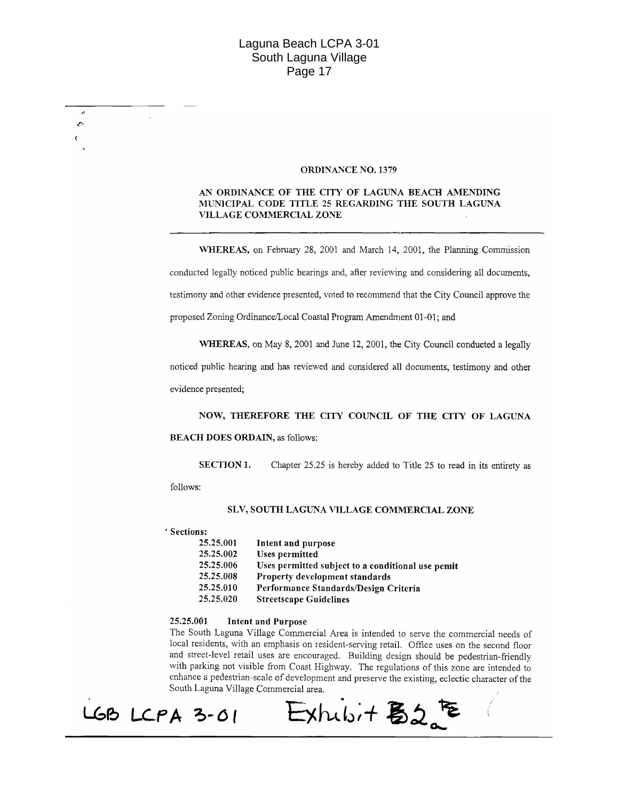#### **ORDINANCE NO. 1379**

#### AN ORDINANCE OF THE CITY OF LAGUNA BEACH AMENDING MUNICIPAL CODE TITLE 25 REGARDING THE SOUTH LAGUNA VILLAGE COMMERCIAL ZONE

WHEREAS, on February 28, 2001 and March 14, 2001, the Planning Commission conducted legally noticed public hearings and, after reviewing and considering all documents, testimony and other evidence presented, voted to recommend that the City Council approve the proposed Zoning Ordinance/Local Coastal Program Amendment 01-01; and

WHEREAS, on May 8, 2001 and June 12, 2001, the City Council conducted a legally

noticed public hearing and has reviewed and considered all documents, testimony and other evidence presented;

NOW, THEREFORE THE CITY COUNCIL OF THE CITY OF LAGUNA **BEACH DOES ORDAIN, as follows:** 

**SECTION 1.** Chapter 25.25 is hereby added to Title 25 to read in its entirety as

follows:

z,

#### SLV, SOUTH LAGUNA VILLAGE COMMERCIAL ZONE

' Sections:

| 25.25.001 | Intent and purpose                                |
|-----------|---------------------------------------------------|
| 25.25.002 | <b>Uses permitted</b>                             |
| 25.25.006 | Uses permitted subject to a conditional use pemit |
| 25.25.008 | Property development standards                    |
| 25.25.010 | Performance Standards/Design Criteria             |
| 25.25.020 | <b>Streetscape Guidelines</b>                     |

#### 25.25.001 **Intent and Purpose**

The South Laguna Village Commercial Area is intended to serve the commercial needs of local residents, with an emphasis on resident-serving retail. Office uses on the second floor and street-level retail uses are encouraged. Building design should be pedestrian-friendly with parking not visible from Coast Highway. The regulations of this zone are intended to enhance a pedestrian-scale of development and preserve the existing, eclectic character of the South Laguna Village Commercial area.

 $\exists$ xhubit  $52e$ 

LGB LCPA 3-01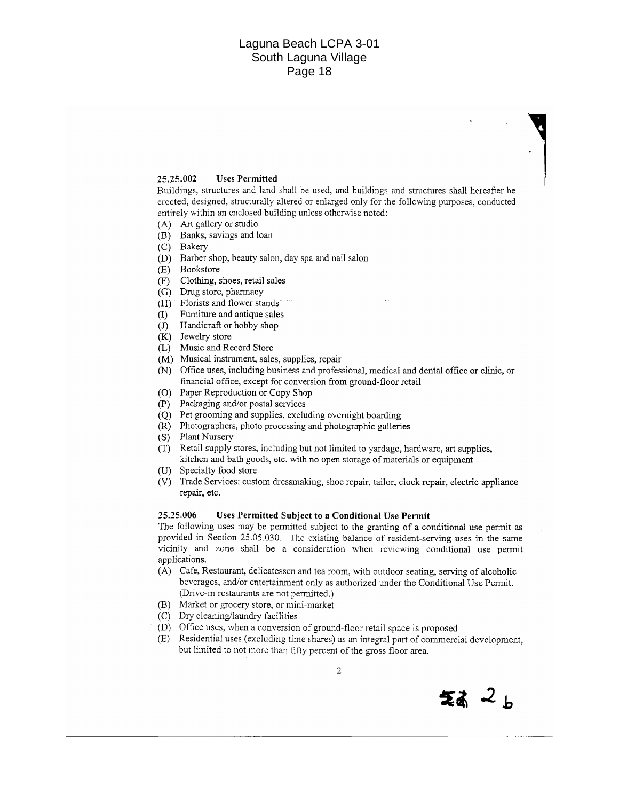#### 25.25.002 **Uses Permitted**

Buildings, structures and land shall be used, and buildings and structures shall hereafter be erected, designed, structurally altered or enlarged only for the following purposes, conducted entirely within an enclosed building unless otherwise noted:

- (A) Art gallery or studio
- (B) Banks, savings and loan
- (C) Bakery
- (D) Barber shop, beauty salon, day spa and nail salon
- (E) Bookstore
- (F) Clothing, shoes, retail sales
- (G) Drug store, pharmacy
- (H) Florists and flower stands
- (I) Furniture and antique sales
- $J$  Handicraft or hobby shop
- (K) Jewelry store
- (L) Music and Record Store
- (M) Musical instrument, sales, supplies, repair
- (N) Office uses, including business and professional, medical and dental office or clinic, or financial office, except for conversion from ground-floor retail
- (O) Paper Reproduction or Copy Shop
- (P) Packaging and/or postal services
- (Q) Pet grooming and supplies, excluding overnight boarding
- (R) Photographers, photo processing and photographic galleries
- (S) Plant Nursery
- (T) Retail supply stores, including but not limited to vardage, hardware, art supplies, kitchen and bath goods, etc. with no open storage of materials or equipment
- (U) Specialty food store
- (V) Trade Services: custom dressmaking, shoe repair, tailor, clock repair, electric appliance repair, etc.

#### 25.25.006 Uses Permitted Subject to a Conditional Use Permit

The following uses may be permitted subject to the granting of a conditional use permit as provided in Section 25.05.030. The existing balance of resident-serving uses in the same vicinity and zone shall be a consideration when reviewing conditional use permit applications.

- (A) Cafe, Restaurant, delicatessen and tea room, with outdoor seating, serving of alcoholic beverages, and/or entertainment only as authorized under the Conditional Use Permit. (Drive-in restaurants are not permitted.)
- (B) Market or grocery store, or mini-market
- (C) Dry cleaning/laundry facilities
- (D) Office uses, when a conversion of ground-floor retail space is proposed
- (E) Residential uses (excluding time shares) as an integral part of commercial development, but limited to not more than fifty percent of the gross floor area.

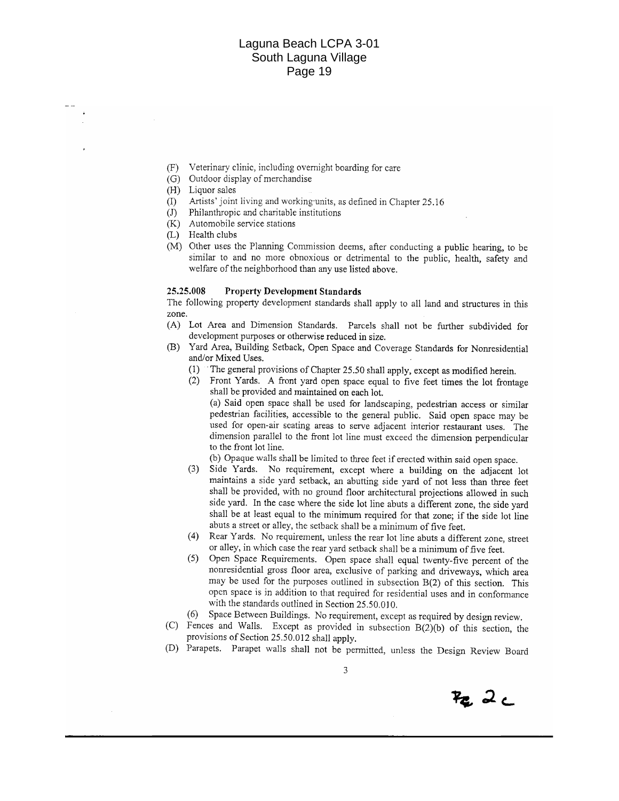- Veterinary clinic, including overnight boarding for care  $(F)$
- (G) Outdoor display of merchandise
- (H) Liquor sales
- Artists' joint living and working-units, as defined in Chapter 25.16  $(1)$
- Philanthropic and charitable institutions  $(J)$
- (K) Automobile service stations
- (L) Health clubs
- (M) Other uses the Planning Commission deems, after conducting a public hearing, to be similar to and no more obnoxious or detrimental to the public, health, safety and welfare of the neighborhood than any use listed above.

#### 25.25.008 **Property Development Standards**

The following property development standards shall apply to all land and structures in this zone.

- (A) Lot Area and Dimension Standards. Parcels shall not be further subdivided for development purposes or otherwise reduced in size.
- (B) Yard Area, Building Setback, Open Space and Coverage Standards for Nonresidential and/or Mixed Uses.
	- (1) The general provisions of Chapter 25.50 shall apply, except as modified herein.
	- (2) Front Yards. A front yard open space equal to five feet times the lot frontage shall be provided and maintained on each lot.

(a) Said open space shall be used for landscaping, pedestrian access or similar pedestrian facilities, accessible to the general public. Said open space may be used for open-air scating areas to serve adjacent interior restaurant uses. The dimension parallel to the front lot line must exceed the dimension perpendicular to the front lot line.

(b) Opaque walls shall be limited to three feet if erected within said open space.

- Side Yards. No requirement, except where a building on the adjacent lot  $(3)$ maintains a side yard setback, an abutting side yard of not less than three feet shall be provided, with no ground floor architectural projections allowed in such side yard. In the case where the side lot line abuts a different zone, the side yard shall be at least equal to the minimum required for that zone; if the side lot line abuts a street or alley, the setback shall be a minimum of five feet.
- (4) Rear Yards. No requirement, unless the rear lot line abuts a different zone, street or alley, in which case the rear yard setback shall be a minimum of five feet.
- (5) Open Space Requirements. Open space shall equal twenty-five percent of the nonresidential gross floor area, exclusive of parking and driveways, which area may be used for the purposes outlined in subsection B(2) of this section. This open space is in addition to that required for residential uses and in conformance with the standards outlined in Section 25.50.010.
- Space Between Buildings. No requirement, except as required by design review.  $(6)$
- (C) Fences and Walls. Except as provided in subsection B(2)(b) of this section, the provisions of Section 25.50.012 shall apply.
- (D) Parapets. Parapet walls shall not be permitted, unless the Design Review Board

3

 $F_{\mathbf{Z}_\mu}$  .  $2\sub$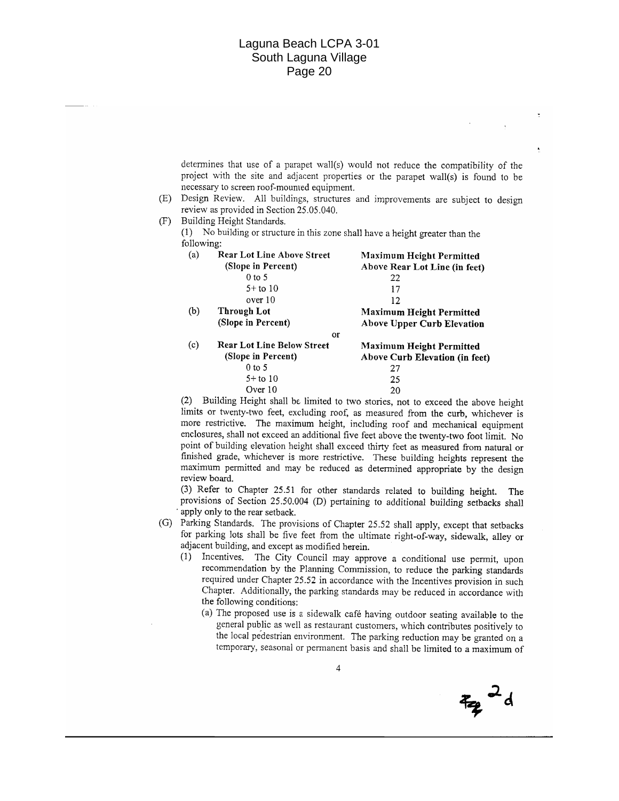determines that use of a parapet wall(s) would not reduce the compatibility of the project with the site and adjacent properties or the parapet wall(s) is found to be necessary to screen roof-mounted equipment.

(E) Design Review. All buildings, structures and improvements are subject to design review as provided in Section 25.05.040.

 $(F)$ Building Height Standards.

 $(1)$  No building or structure in this zone shall have a height greater than the following:

| (a)     | <b>Rear Lot Line Above Street</b> | <b>Maximum Height Permitted</b>   |  |
|---------|-----------------------------------|-----------------------------------|--|
|         | (Slope in Percent)                | Above Rear Lot Line (in feet)     |  |
|         | $0$ to 5                          | 22                                |  |
|         | $5+$ to 10                        | 17                                |  |
|         | over 10                           | 12                                |  |
| (b)     | Through Lot                       | <b>Maximum Height Permitted</b>   |  |
|         | (Slope in Percent)                | <b>Above Upper Curb Elevation</b> |  |
|         | <b>or</b>                         |                                   |  |
| (c)     | <b>Rear Lot Line Below Street</b> | <b>Maximum Height Permitted</b>   |  |
|         | (Slope in Percent)                | Above Curb Elevation (in feet)    |  |
|         | $0$ to 5                          | 27                                |  |
|         | $5+$ to 10                        | 25                                |  |
| Over 10 |                                   | 20                                |  |

(2) Building Height shall be limited to two stories, not to exceed the above height limits or twenty-two feet, excluding roof, as measured from the curb, whichever is more restrictive. The maximum height, including roof and mechanical equipment enclosures, shall not exceed an additional five feet above the twenty-two foot limit. No point of building elevation height shall exceed thirty feet as measured from natural or finished grade, whichever is more restrictive. These building heights represent the maximum permitted and may be reduced as determined appropriate by the design review board.

(3) Refer to Chapter 25.51 for other standards related to building height. The provisions of Section 25.50.004 (D) pertaining to additional building setbacks shall apply only to the rear setback.

- (G) Parking Standards. The provisions of Chapter 25.52 shall apply, except that setbacks for parking lots shall be five feet from the ultimate right-of-way, sidewalk, alley or adjacent building, and except as modified herein.
	- (1) Incentives. The City Council may approve a conditional use permit, upon recommendation by the Planning Commission, to reduce the parking standards required under Chapter 25.52 in accordance with the Incentives provision in such Chapter. Additionally, the parking standards may be reduced in accordance with the following conditions:
		- (a) The proposed use is a sidewalk café having outdoor seating available to the general public as well as restaurant customers, which contributes positively to the local pedestrian environment. The parking reduction may be granted on a temporary, seasonal or permanent basis and shall be limited to a maximum of

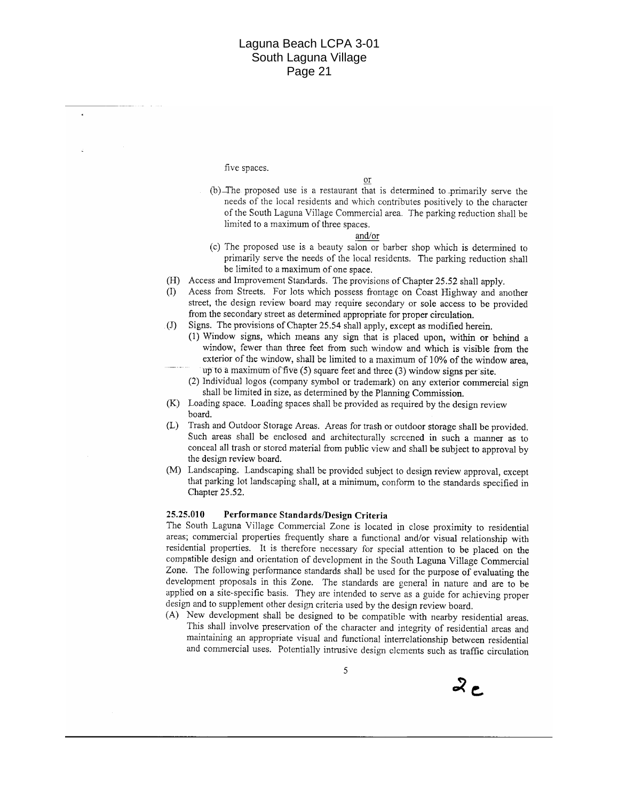five spaces.

or

(b) The proposed use is a restaurant that is determined to primarily serve the needs of the local residents and which contributes positively to the character of the South Laguna Village Commercial area. The parking reduction shall be limited to a maximum of three spaces.

#### and/or

- (c) The proposed use is a beauty salon or barber shop which is determined to primarily serve the needs of the local residents. The parking reduction shall be limited to a maximum of one space.
- (H) Access and Improvement Standards. The provisions of Chapter 25.52 shall apply.
- $\sigma$ Acess from Streets. For lots which possess frontage on Coast Highway and another street, the design review board may require secondary or sole access to be provided from the secondary street as determined appropriate for proper circulation.
- $\left( \mathrm{J}\right)$ Signs. The provisions of Chapter 25.54 shall apply, except as modified herein.
	- (1) Window signs, which means any sign that is placed upon, within or behind a window, fewer than three feet from such window and which is visible from the exterior of the window, shall be limited to a maximum of 10% of the window area, up to a maximum of five (5) square feet and three (3) window signs per site.
	- (2) Individual logos (company symbol or trademark) on any exterior commercial sign shall be limited in size, as determined by the Planning Commission.
- (K) Loading space. Loading spaces shall be provided as required by the design review board.
- (L) Trash and Outdoor Storage Areas. Areas for trash or outdoor storage shall be provided. Such areas shall be enclosed and architecturally screened in such a manner as to conceal all trash or stored material from public view and shall be subject to approval by the design review board.
- (M) Landscaping. Landscaping shall be provided subject to design review approval, except that parking lot landscaping shall, at a minimum, conform to the standards specified in Chapter 25.52.

#### 25.25.010 Performance Standards/Design Criteria

The South Laguna Village Commercial Zone is located in close proximity to residential areas; commercial properties frequently share a functional and/or visual relationship with residential properties. It is therefore necessary for special attention to be placed on the compatible design and orientation of development in the South Laguna Village Commercial Zone. The following performance standards shall be used for the purpose of evaluating the development proposals in this Zone. The standards are general in nature and are to be applied on a site-specific basis. They are intended to serve as a guide for achieving proper design and to supplement other design criteria used by the design review board.

(A) New development shall be designed to be compatible with nearby residential areas. This shall involve preservation of the character and integrity of residential areas and maintaining an appropriate visual and functional interrelationship between residential and commercial uses. Potentially intrusive design clements such as traffic circulation

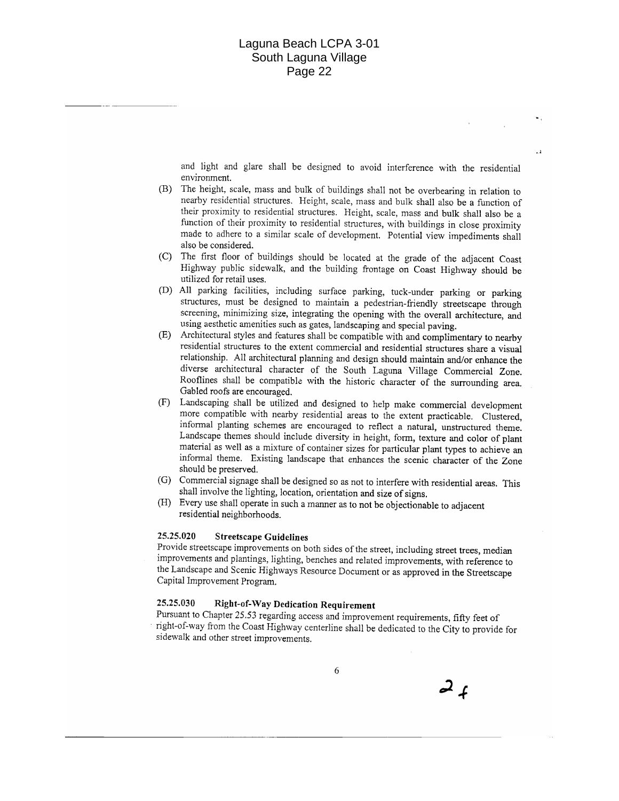and light and glare shall be designed to avoid interference with the residential environment.

 $\rightarrow$ 

- (B) The height, scale, mass and bulk of buildings shall not be overbearing in relation to nearby residential structures. Height, scale, mass and bulk shall also be a function of their proximity to residential structures. Height, scale, mass and bulk shall also be a function of their proximity to residential structures, with buildings in close proximity made to adhere to a similar scale of development. Potential view impediments shall also be considered.
- The first floor of buildings should be located at the grade of the adjacent Coast  $(C)$ Highway public sidewalk, and the building frontage on Coast Highway should be utilized for retail uses.
- (D) All parking facilities, including surface parking, tuck-under parking or parking structures, must be designed to maintain a pedestrian-friendly streetscape through screening, minimizing size, integrating the opening with the overall architecture, and using aesthetic amenities such as gates, landscaping and special paving.
- (E) Architectural styles and features shall be compatible with and complimentary to nearby residential structures to the extent commercial and residential structures share a visual relationship. All architectural planning and design should maintain and/or enhance the diverse architectural character of the South Laguna Village Commercial Zone. Rooflines shall be compatible with the historic character of the surrounding area. Gabled roofs are encouraged.
- (F) Landscaping shall be utilized and designed to help make commercial development more compatible with nearby residential areas to the extent practicable. Clustered, informal planting schemes are encouraged to reflect a natural, unstructured theme. Landscape themes should include diversity in height, form, texture and color of plant material as well as a mixture of container sizes for particular plant types to achieve an informal theme. Existing landscape that enhances the scenic character of the Zone should be preserved.
- (G) Commercial signage shall be designed so as not to interfere with residential areas. This shall involve the lighting, location, orientation and size of signs.
- (H) Every use shall operate in such a manner as to not be objectionable to adjacent residential neighborhoods.

#### 25.25.020 **Streetscape Guidelines**

Provide streetscape improvements on both sides of the street, including street trees, median improvements and plantings, lighting, benches and related improvements, with reference to the Landscape and Scenic Highways Resource Document or as approved in the Streetscape Capital Improvement Program.

#### **Right-of-Way Dedication Requirement** 25.25.030

Pursuant to Chapter 25.53 regarding access and improvement requirements, fifty feet of right-of-way from the Coast Highway centerline shall be dedicated to the City to provide for sidewalk and other street improvements.

 $2f$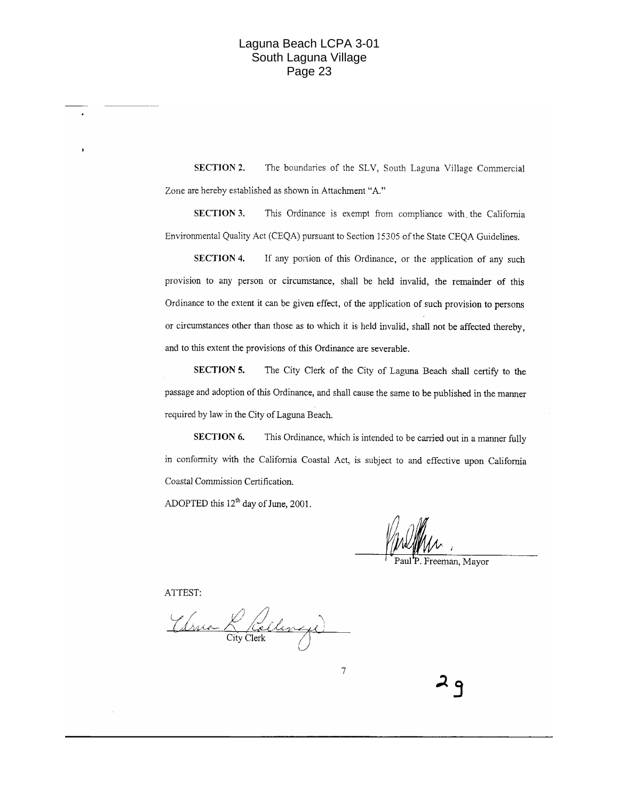**SECTION 2.** The boundaries of the SLV, South Laguna Village Commercial Zone are hereby established as shown in Attachment "A."

**SECTION 3.** This Ordinance is exempt from compliance with the California Environmental Quality Act (CEQA) pursuant to Section 15305 of the State CEQA Guidelines.

**SECTION 4.** If any portion of this Ordinance, or the application of any such provision to any person or circumstance, shall be held invalid, the remainder of this Ordinance to the extent it can be given effect, of the application of such provision to persons or circumstances other than those as to which it is held invalid, shall not be affected thereby. and to this extent the provisions of this Ordinance are severable.

**SECTION 5.** The City Clerk of the City of Laguna Beach shall certify to the passage and adoption of this Ordinance, and shall cause the same to be published in the manner required by law in the City of Laguna Beach.

**SECTION 6.** This Ordinance, which is intended to be carried out in a manner fully in conformity with the California Coastal Act, is subject to and effective upon California Coastal Commission Certification.

 $\boldsymbol{7}$ 

ADOPTED this  $12^{th}$  day of June, 2001.

Paul<sup>'</sup>P. Freeman, Mayor

ATTEST:

Thru Lailinge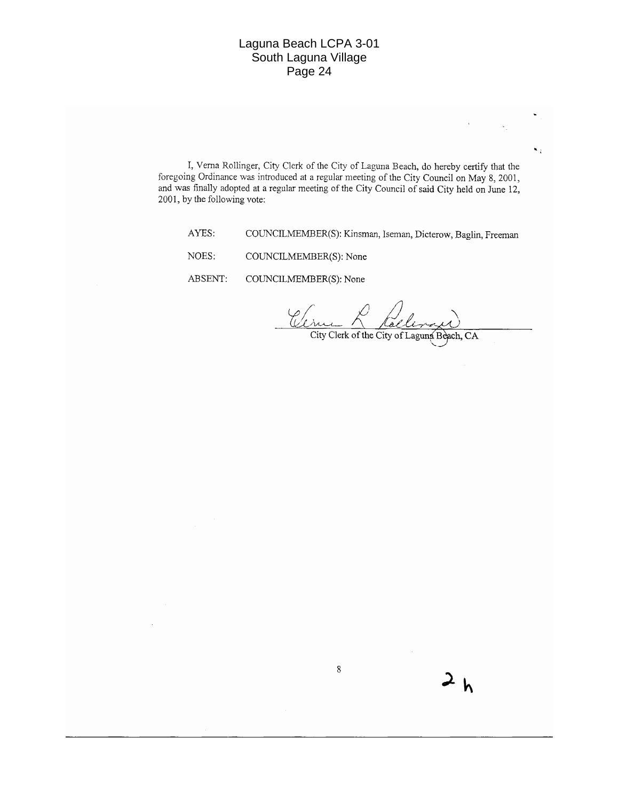I, Verna Rollinger, City Clerk of the City of Laguna Beach, do hereby certify that the foregoing Ordinance was introduced at a regular meeting of the City Council on May 8, 2001, and was finally adopted at a regular meeting of the City Council of said City held on June 12, 2001, by the following vote:

 $8\,$ 

AYES: COUNCILMEMBER(S): Kinsman, Iseman, Dicterow, Baglin, Freeman

NOES: COUNCILMEMBER(S): None

ABSENT: COUNCILMEMBER(S): None

Clin

City Clerk of the City of Laguna Beach, CA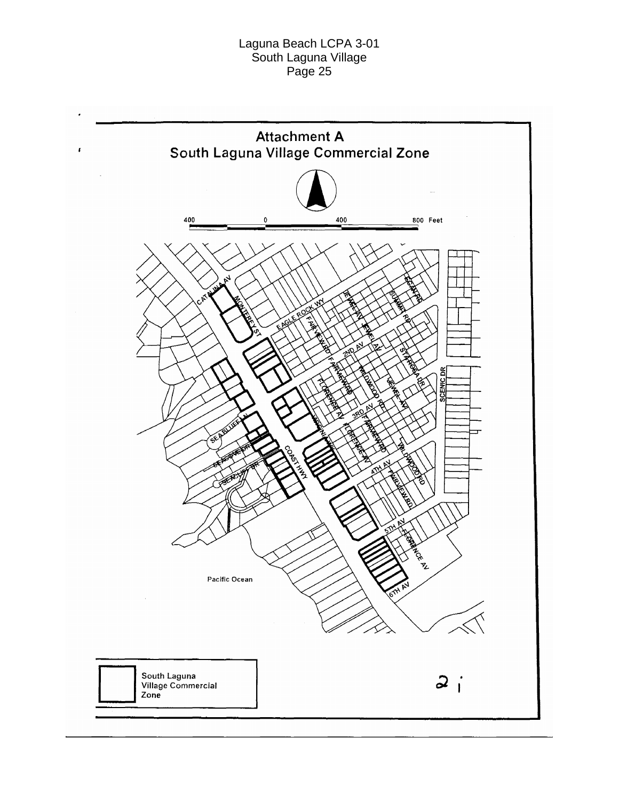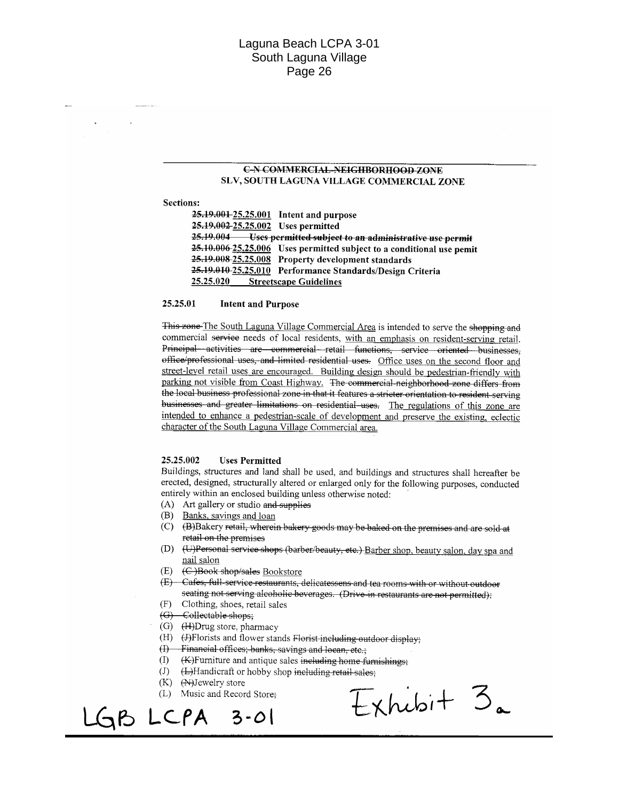#### **C-N-COMMERCIAL-NEIGHBORHOOD ZONE** SLV, SOUTH LAGUNA VILLAGE COMMERCIAL ZONE

**Sections:** 

|                                    | 25.19.001-25.25.001 Intent and purpose                                |
|------------------------------------|-----------------------------------------------------------------------|
| 25.19.002-25.25.002 Uses permitted |                                                                       |
|                                    | 25.19.004 Uses permitted subject to an administrative use permit      |
|                                    | 25.10.006-25.25.006 Uses permitted subject to a conditional use pemit |
|                                    | 25.19.008-25.25.008 Property development standards                    |
|                                    | 25.19.010 25.25.010 Performance Standards/Design Criteria             |
| 25.25.020                          | <b>Streetscape Guidelines</b>                                         |

#### 25.25.01 **Intent and Purpose**

This zone The South Laguna Village Commercial Area is intended to serve the shopping and commercial service needs of local residents, with an emphasis on resident-serving retail. Principal activities are commercial retail functions, service oriented businesses, office/professional uses, and limited residential uses. Office uses on the second floor and street-level retail uses are encouraged. Building design should be pedestrian-friendly with parking not visible from Coast Highway. The commercial-neighborhood zone differs from the local business professional zone in that it features a stricter orientation to resident-serving businesses and greater limitations on residential uses. The regulations of this zone are intended to enhance a pedestrian-scale of development and preserve the existing, eclectic character of the South Laguna Village Commercial area.

#### 25.25.002 **Uses Permitted**

Buildings, structures and land shall be used, and buildings and structures shall hereafter be erected, designed, structurally altered or enlarged only for the following purposes, conducted entirely within an enclosed building unless otherwise noted:

- (A) Art gallery or studio and supplies
- (B) Banks, sayings and loan
- (C) (B)Bakery retail, wherein bakery goods may be baked on the premises and are sold at retail on the premises
- (D) (U)Personal service shops (barber/beauty, etc.) Barber shop, beauty salon, day spa and nail salon
- $(E)$ (C)Book shop/sales Bookstore
- (E) Cafes, full-service restaurants, delicatessens and tea rooms with or without outdoor seating not serving alcoholic beverages. (Drive in restaurants are not permitted):
- $(F)$ Clothing, shoes, retail sales
- (G) Collectable shops;
- $(G)$  (H)Drug store, pharmacy
- (H) (+)Florists and flower stands Florist including outdoor display;
- (I) Financial offices; banks, savings and locan, etc.;
- $(I)$  (K) Furniture and antique sales including home furnishings;
- $\left( \mathrm{J}\right)$ (L)Handicraft or hobby shop including retail sales;
- $(K)$   $(\mathbb{N})$  ewelry store
- (L) Music and Record Store;

GB LCPA  $3 - 01$ 

 $Exhubi+3a$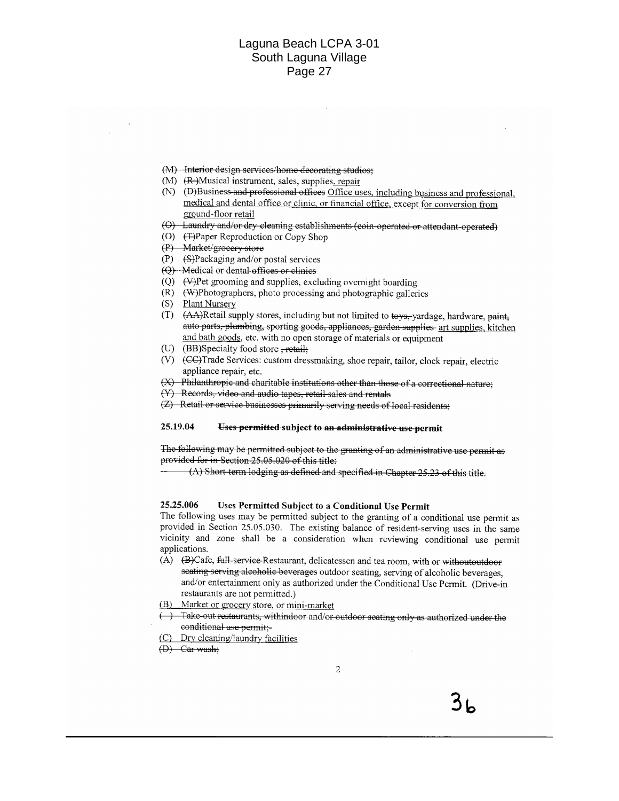- (M) Interior design services/home decorating studios;
- (M) (R-)Musical instrument, sales, supplies, repair
- (N) (D)Business and professional offices Office uses, including business and professional, medical and dental office or clinic, or financial office, except for conversion from ground-floor retail
- (O) Laundry and/or dry cleaning establishments (coin-operated or attendant-operated)
- (O) (T) Paper Reproduction or Copy Shop
- (P) Market/groeery store
- $(P)$  (S)Packaging and/or postal services
- (Q) Medical or dental offices or clinics
- $(Q)$  (V) Pet grooming and supplies, excluding overnight boarding
- $(R)$ (W)Photographers, photo processing and photographic galleries
- Plant Nursery  $(S)$
- (AA)Retail supply stores, including but not limited to toys,-yardage, hardware, paint,  $(T)$ auto parts, plumbing, sporting goods, appliances, garden supplies art supplies, kitchen and bath goods, etc. with no open storage of materials or equipment
- (U)  $(BB)$ Specialty food store  $\frac{1}{2}$  retail:
- (V) (CC)Trade Services: custom dressmaking, shoe repair, tailor, clock repair, electric appliance repair, etc.
- (X) Philanthropic and charitable institutions other than those of a correctional nature;
- (Y) Records, video and audio tapes, retail sales and rentals
- (Z) Retail or service businesses primarily serving needs of local residents;

#### 25.19.04 Uses permitted subject to an administrative use permit

The following may be permitted subject to the granting of an administrative use permit as provided for in Section 25.05.020 of this title:

 $(A)$  Short term lodging as defined and specified in Chapter 25.23 of this title.

#### 25.25.006 Uses Permitted Subject to a Conditional Use Permit

The following uses may be permitted subject to the granting of a conditional use permit as provided in Section 25.05.030. The existing balance of resident-serving uses in the same vicinity and zone shall be a consideration when reviewing conditional use permit applications.

- (A) (B)Cafe, full-service-Restaurant, delicatessen and tea room, with or withoutoutdoor seating serving alcoholic beverages outdoor seating, serving of alcoholic beverages, and/or entertainment only as authorized under the Conditional Use Permit. (Drive-in restaurants are not permitted.)
- (B) Market or grocery store, or mini-market
- )—Take-out restaurants, withindoor and/or outdoor seating only as authorized under the conditional use permit:-
- (C) Dry cleaning/laundry facilities
- $(D)$  Car wash;

 $3<sub>k</sub>$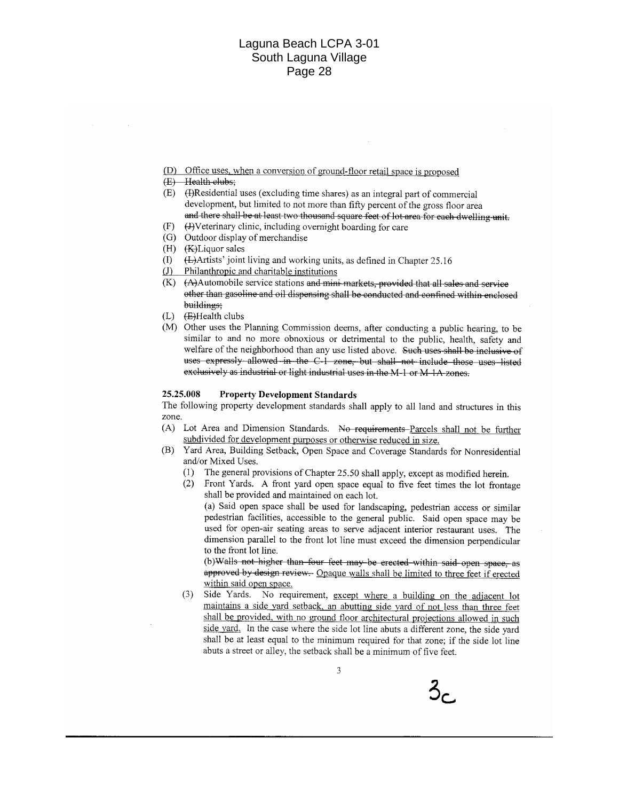- (D) Office uses, when a conversion of ground-floor retail space is proposed
- (E) Health clubs;
- (E) (H)Residential uses (excluding time shares) as an integral part of commercial development, but limited to not more than fifty percent of the gross floor area and there shall be at least two thousand square feet of lot area for each dwelling unit.
- $(F)$ (J)Veterinary clinic, including overnight boarding for care
- (G) Outdoor display of merchandise
- (H) (KH) iquor sales
- (L)Artists' joint living and working units, as defined in Chapter 25.16  $(D)$
- Philanthropic and charitable institutions  $(J)$
- $(K)$   $(A)$  Automobile service stations and mini-markets, provided that all sales and service other than gasoline and oil dispensing shall be conducted and confined within enclosed buildings:
- $(L)$  (E)Health clubs
- (M) Other uses the Planning Commission deems, after conducting a public hearing, to be similar to and no more obnoxious or detrimental to the public, health, safety and welfare of the neighborhood than any use listed above. Such uses shall be inclusive of uses expressly allowed in the C-1 zone, but shall not include those uses listed exclusively as industrial or light industrial uses in the M-1 or M-1A-zones.

#### 25.25.008 **Property Development Standards**

The following property development standards shall apply to all land and structures in this zone.

- (A) Lot Area and Dimension Standards. No requirements Parcels shall not be further subdivided for development purposes or otherwise reduced in size.
- (B) Yard Area, Building Setback, Open Space and Coverage Standards for Nonresidential and/or Mixed Uses.
	- (1) The general provisions of Chapter 25.50 shall apply, except as modified herein.
	- (2) Front Yards. A front yard open space equal to five feet times the lot frontage shall be provided and maintained on each lot. (a) Said open space shall be used for landscaping, pedestrian access or similar

pedestrian facilities, accessible to the general public. Said open space may be used for open-air seating areas to serve adjacent interior restaurant uses. The dimension parallel to the front lot line must exceed the dimension perpendicular to the front lot line.

(b) Walls not higher than four feet may be erected within said open space, as approved by design review - Opaque walls shall be limited to three feet if erected within said open space.

Side Yards. No requirement, except where a building on the adjacent lot  $(3)$ maintains a side yard setback, an abutting side yard of not less than three feet shall be provided, with no ground floor architectural projections allowed in such side yard. In the case where the side lot line abuts a different zone, the side yard shall be at least equal to the minimum required for that zone; if the side lot line abuts a street or alley, the setback shall be a minimum of five feet.

 $\mathcal{S}_{\mathsf{C}}$ 

3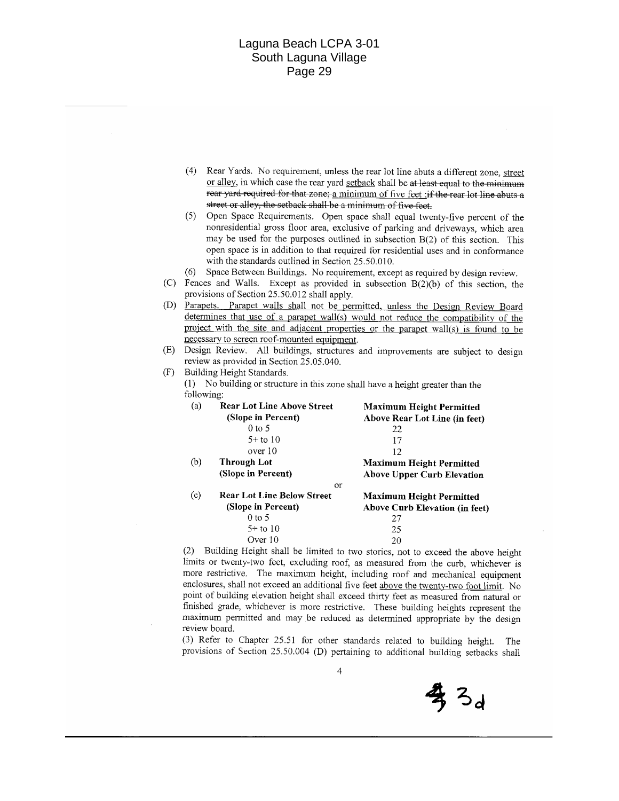|     | (4)                                                                                                                                                                                                                | street or alley, the setback shall be a minimum of five feet.                                               | Rear Yards. No requirement, unless the rear lot line abuts a different zone, street<br>or alley, in which case the rear yard setback shall be at least equal to the minimum<br>rear yard required for that zone; a minimum of five feet ;if the rear lot line abuts a                                                                 |  |  |
|-----|--------------------------------------------------------------------------------------------------------------------------------------------------------------------------------------------------------------------|-------------------------------------------------------------------------------------------------------------|---------------------------------------------------------------------------------------------------------------------------------------------------------------------------------------------------------------------------------------------------------------------------------------------------------------------------------------|--|--|
|     | (5)                                                                                                                                                                                                                | with the standards outlined in Section 25.50.010.                                                           | Open Space Requirements. Open space shall equal twenty-five percent of the<br>nonresidential gross floor area, exclusive of parking and driveways, which area<br>may be used for the purposes outlined in subsection B(2) of this section. This<br>open space is in addition to that required for residential uses and in conformance |  |  |
|     | (6)                                                                                                                                                                                                                |                                                                                                             |                                                                                                                                                                                                                                                                                                                                       |  |  |
| (C) | Space Between Buildings. No requirement, except as required by design review.<br>Fences and Walls. Except as provided in subsection $B(2)(b)$ of this section, the<br>provisions of Section 25.50.012 shall apply. |                                                                                                             |                                                                                                                                                                                                                                                                                                                                       |  |  |
| (D) | Parapets. Parapet walls shall not be permitted, unless the Design Review Board                                                                                                                                     |                                                                                                             |                                                                                                                                                                                                                                                                                                                                       |  |  |
|     | determines that use of a parapet wall(s) would not reduce the compatibility of the                                                                                                                                 |                                                                                                             |                                                                                                                                                                                                                                                                                                                                       |  |  |
|     |                                                                                                                                                                                                                    |                                                                                                             | project with the site and adjacent properties or the parapet wall(s) is found to be                                                                                                                                                                                                                                                   |  |  |
|     |                                                                                                                                                                                                                    | necessary to screen roof-mounted equipment.                                                                 |                                                                                                                                                                                                                                                                                                                                       |  |  |
| (E) |                                                                                                                                                                                                                    |                                                                                                             | Design Review. All buildings, structures and improvements are subject to design                                                                                                                                                                                                                                                       |  |  |
|     |                                                                                                                                                                                                                    | review as provided in Section 25.05.040.                                                                    |                                                                                                                                                                                                                                                                                                                                       |  |  |
| (F) |                                                                                                                                                                                                                    | Building Height Standards.                                                                                  |                                                                                                                                                                                                                                                                                                                                       |  |  |
|     | (1)                                                                                                                                                                                                                | No building or structure in this zone shall have a height greater than the                                  |                                                                                                                                                                                                                                                                                                                                       |  |  |
|     | following:                                                                                                                                                                                                         |                                                                                                             |                                                                                                                                                                                                                                                                                                                                       |  |  |
|     | (a)                                                                                                                                                                                                                | <b>Rear Lot Line Above Street</b>                                                                           | <b>Maximum Height Permitted</b>                                                                                                                                                                                                                                                                                                       |  |  |
|     |                                                                                                                                                                                                                    | (Slope in Percent)                                                                                          | Above Rear Lot Line (in feet)                                                                                                                                                                                                                                                                                                         |  |  |
|     |                                                                                                                                                                                                                    | $0$ to 5                                                                                                    | 22                                                                                                                                                                                                                                                                                                                                    |  |  |
|     |                                                                                                                                                                                                                    | $5+$ to 10                                                                                                  | 17                                                                                                                                                                                                                                                                                                                                    |  |  |
|     |                                                                                                                                                                                                                    | over 10                                                                                                     | 12                                                                                                                                                                                                                                                                                                                                    |  |  |
|     | (b)                                                                                                                                                                                                                | <b>Through Lot</b>                                                                                          | <b>Maximum Height Permitted</b>                                                                                                                                                                                                                                                                                                       |  |  |
|     |                                                                                                                                                                                                                    | (Slope in Percent)                                                                                          | <b>Above Upper Curb Elevation</b>                                                                                                                                                                                                                                                                                                     |  |  |
|     |                                                                                                                                                                                                                    | <b>Or</b>                                                                                                   |                                                                                                                                                                                                                                                                                                                                       |  |  |
|     | (c)                                                                                                                                                                                                                | <b>Rear Lot Line Below Street</b>                                                                           | <b>Maximum Height Permitted</b>                                                                                                                                                                                                                                                                                                       |  |  |
|     |                                                                                                                                                                                                                    | (Slope in Percent)                                                                                          | <b>Above Curb Elevation (in feet)</b>                                                                                                                                                                                                                                                                                                 |  |  |
|     |                                                                                                                                                                                                                    | $0$ to 5                                                                                                    | 27                                                                                                                                                                                                                                                                                                                                    |  |  |
|     |                                                                                                                                                                                                                    | $5+$ to 10                                                                                                  | 25                                                                                                                                                                                                                                                                                                                                    |  |  |
|     |                                                                                                                                                                                                                    | Over 10                                                                                                     | 20                                                                                                                                                                                                                                                                                                                                    |  |  |
|     | (2)                                                                                                                                                                                                                |                                                                                                             | Building Height shall be limited to two stories, not to exceed the above height                                                                                                                                                                                                                                                       |  |  |
|     | limits or twenty-two feet, excluding roof, as measured from the curb, whichever is                                                                                                                                 |                                                                                                             |                                                                                                                                                                                                                                                                                                                                       |  |  |
|     | more restrictive. The maximum height, including roof and mechanical equipment                                                                                                                                      |                                                                                                             |                                                                                                                                                                                                                                                                                                                                       |  |  |
|     |                                                                                                                                                                                                                    |                                                                                                             |                                                                                                                                                                                                                                                                                                                                       |  |  |
|     |                                                                                                                                                                                                                    |                                                                                                             | enclosures, shall not exceed an additional five feet above the twenty-two foot limit. No                                                                                                                                                                                                                                              |  |  |
|     |                                                                                                                                                                                                                    |                                                                                                             | point of building elevation height shall exceed thirty feet as measured from natural or                                                                                                                                                                                                                                               |  |  |
|     |                                                                                                                                                                                                                    |                                                                                                             | finished grade, whichever is more restrictive. These building heights represent the                                                                                                                                                                                                                                                   |  |  |
|     |                                                                                                                                                                                                                    | review board.<br>$(3)$ Defer to Chapter $25.51$ for other standards related to building $1 \leq t \leq 1$ . | maximum permitted and may be reduced as determined appropriate by the design                                                                                                                                                                                                                                                          |  |  |

(3) Refer to Chapter 25.51 for other standards related to building height. The provisions of Section 25.50.004 (D) pertaining to additional building setbacks shall

专3d

 $\overline{4}$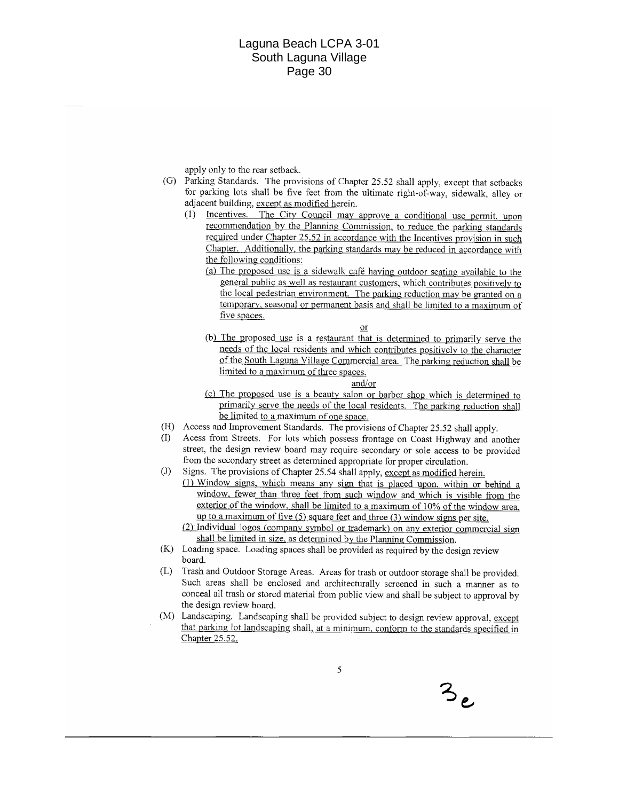apply only to the rear setback.

- (G) Parking Standards. The provisions of Chapter 25.52 shall apply, except that setbacks for parking lots shall be five feet from the ultimate right-of-way, sidewalk, alley or adjacent building, except as modified herein.
	- (1) Incentives. The City Council may approve a conditional use permit, upon recommendation by the Planning Commission, to reduce the parking standards required under Chapter 25.52 in accordance with the Incentives provision in such Chapter. Additionally, the parking standards may be reduced in accordance with the following conditions:
		- (a) The proposed use is a sidewalk café having outdoor seating available to the general public as well as restaurant customers, which contributes positively to the local pedestrian environment. The parking reduction may be granted on a temporary, seasonal or permanent basis and shall be limited to a maximum of five spaces.
		- (b) The proposed use is a restaurant that is determined to primarily serve the needs of the local residents and which contributes positively to the character of the South Laguna Village Commercial area. The parking reduction shall be limited to a maximum of three spaces.

or

and/or

- (c) The proposed use is a beauty salon or barber shop which is determined to primarily serve the needs of the local residents. The parking reduction shall be limited to a maximum of one space.
- (H) Access and Improvement Standards. The provisions of Chapter 25.52 shall apply.
- Acess from Streets. For lots which possess frontage on Coast Highway and another street, the design review board may require secondary or sole access to be provided from the secondary street as determined appropriate for proper circulation.
- $(J)$ Signs. The provisions of Chapter 25.54 shall apply, except as modified herein.
	- (1) Window signs, which means any sign that is placed upon, within or behind a window, fewer than three feet from such window and which is visible from the exterior of the window, shall be limited to a maximum of 10% of the window area, up to a maximum of five  $(5)$  square feet and three  $(3)$  window signs per site.
	- (2) Individual logos (company symbol or trademark) on any exterior commercial sign shall be limited in size, as determined by the Planning Commission.
- (K) Loading space. Loading spaces shall be provided as required by the design review board.
- Trash and Outdoor Storage Areas. Areas for trash or outdoor storage shall be provided.  $(L)$ Such areas shall be enclosed and architecturally screened in such a manner as to conceal all trash or stored material from public view and shall be subject to approval by the design review board.
- (M) Landscaping. Landscaping shall be provided subject to design review approval, except that parking lot landscaping shall, at a minimum, conform to the standards specified in Chapter 25.52.

 $3e$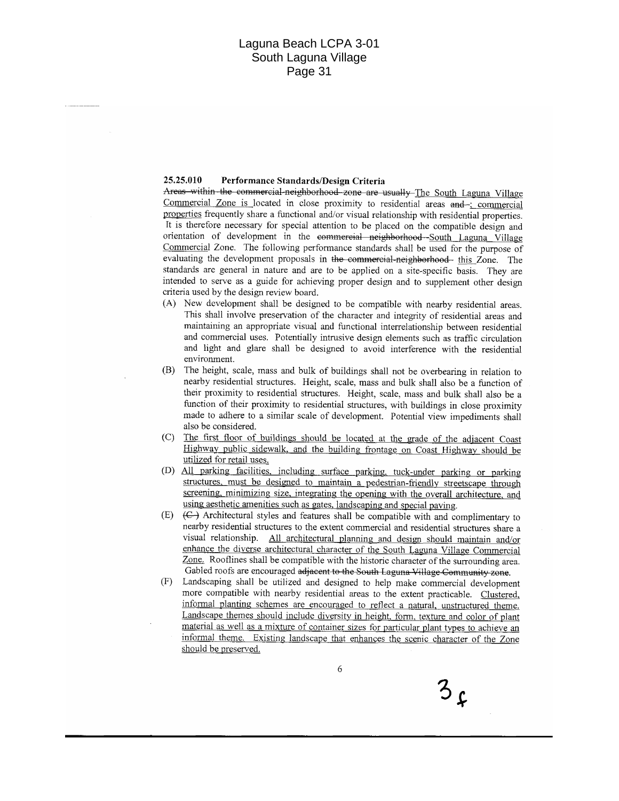#### 25.25.010 Performance Standards/Design Criteria

Areas within the commercial-neighborhood zone are usually The South Laguna Village Commercial Zone is located in close proximity to residential areas and : commercial properties frequently share a functional and/or visual relationship with residential properties. It is therefore necessary for special attention to be placed on the compatible design and orientation of development in the commercial neighborhood South Laguna Village Commercial Zone. The following performance standards shall be used for the purpose of evaluating the development proposals in the commercial-neighborhood- this Zone. The standards are general in nature and are to be applied on a site-specific basis. They are intended to serve as a guide for achieving proper design and to supplement other design criteria used by the design review board.

- (A) New development shall be designed to be compatible with nearby residential areas. This shall involve preservation of the character and integrity of residential areas and maintaining an appropriate visual and functional interrelationship between residential and commercial uses. Potentially intrusive design elements such as traffic circulation and light and glare shall be designed to avoid interference with the residential environment.
- (B) The height, scale, mass and bulk of buildings shall not be overbearing in relation to nearby residential structures. Height, scale, mass and bulk shall also be a function of their proximity to residential structures. Height, scale, mass and bulk shall also be a function of their proximity to residential structures, with buildings in close proximity made to adhere to a similar scale of development. Potential view impediments shall also be considered.
- The first floor of buildings should be located at the grade of the adjacent Coast  $(C)$ Highway public sidewalk, and the building frontage on Coast Highway should be utilized for retail uses.
- (D) All parking facilities, including surface parking, tuck-under parking or parking structures, must be designed to maintain a pedestrian-friendly streetscape through screening, minimizing size, integrating the opening with the overall architecture, and using aesthetic amenities such as gates, landscaping and special paving.
- (E)  $(\epsilon)$  Architectural styles and features shall be compatible with and complimentary to nearby residential structures to the extent commercial and residential structures share a visual relationship. All architectural planning and design should maintain and/or enhance the diverse architectural character of the South Laguna Village Commercial Zone. Rooflines shall be compatible with the historic character of the surrounding area. Gabled roofs are encouraged adjacent to the South Laguna Village Community zone.
- (F) Landscaping shall be utilized and designed to help make commercial development more compatible with nearby residential areas to the extent practicable. Clustered, informal planting schemes are encouraged to reflect a natural, unstructured theme. Landscape themes should include diversity in height, form, texture and color of plant material as well as a mixture of container sizes for particular plant types to achieve an informal theme. Existing landscape that enhances the scenic character of the Zone should be preserved.

6

 $3f$